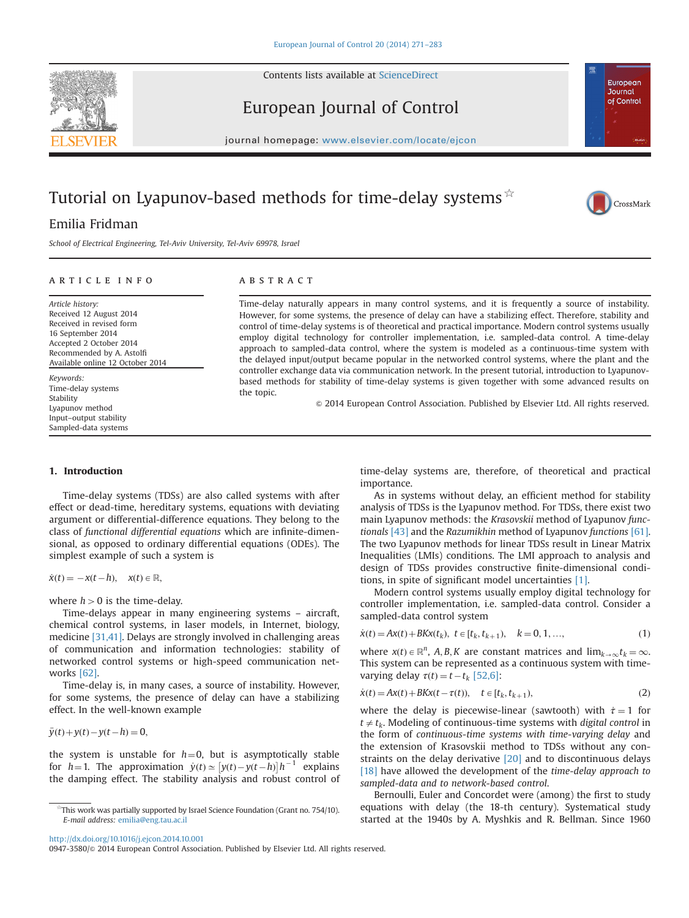<span id="page-0-0"></span>



European Journal of Control



# Tutorial on Lyapunov-based methods for time-delay systems  $\hat{X}$



School of Electrical Engineering, Tel-Aviv University, Tel-Aviv 69978, Israel

# ARTICLE INFO

Article history: Received 12 August 2014 Received in revised form 16 September 2014 Accepted 2 October 2014 Recommended by A. Astolfi Available online 12 October 2014

Keywords: Time-delay systems Stability Lyapunov method Input–output stability Sampled-data systems

## **ABSTRACT**

Time-delay naturally appears in many control systems, and it is frequently a source of instability. However, for some systems, the presence of delay can have a stabilizing effect. Therefore, stability and control of time-delay systems is of theoretical and practical importance. Modern control systems usually employ digital technology for controller implementation, i.e. sampled-data control. A time-delay approach to sampled-data control, where the system is modeled as a continuous-time system with the delayed input/output became popular in the networked control systems, where the plant and the controller exchange data via communication network. In the present tutorial, introduction to Lyapunovbased methods for stability of time-delay systems is given together with some advanced results on the topic.

 $\odot$  2014 European Control Association. Published by Elsevier Ltd. All rights reserved.

## 1. Introduction

Time-delay systems (TDSs) are also called systems with after effect or dead-time, hereditary systems, equations with deviating argument or differential-difference equations. They belong to the class of functional differential equations which are infinite-dimensional, as opposed to ordinary differential equations (ODEs). The simplest example of such a system is

 $\dot{x}(t) = -x(t-h), \quad x(t) \in \mathbb{R},$ 

where  $h > 0$  is the time-delay.

Time-delays appear in many engineering systems – aircraft, chemical control systems, in laser models, in Internet, biology, medicine [\[31,41\].](#page-12-0) Delays are strongly involved in challenging areas of communication and information technologies: stability of networked control systems or high-speed communication networks [\[62\].](#page-12-0)

Time-delay is, in many cases, a source of instability. However, for some systems, the presence of delay can have a stabilizing effect. In the well-known example

 $\ddot{y}(t) + y(t) - y(t-h) = 0,$ 

the system is unstable for  $h=0$ , but is asymptotically stable for  $h=1$ . The approximation  $\dot{y}(t) \approx [y(t)-y(t-h)]h^{-1}$  explains<br>the damning effect. The stability analysis and robust control of the damping effect. The stability analysis and robust control of time-delay systems are, therefore, of theoretical and practical importance.

European Journal of Control

CrossMark

As in systems without delay, an efficient method for stability analysis of TDSs is the Lyapunov method. For TDSs, there exist two main Lyapunov methods: the Krasovskii method of Lyapunov functionals [\[43\]](#page-12-0) and the Razumikhin method of Lyapunov functions [\[61\].](#page-12-0) The two Lyapunov methods for linear TDSs result in Linear Matrix Inequalities (LMIs) conditions. The LMI approach to analysis and design of TDSs provides constructive finite-dimensional conditions, in spite of significant model uncertainties [\[1\].](#page-11-0)

Modern control systems usually employ digital technology for controller implementation, i.e. sampled-data control. Consider a sampled-data control system

$$
\dot{x}(t) = Ax(t) + BKx(t_k), \ t \in [t_k, t_{k+1}), \quad k = 0, 1, ..., \tag{1}
$$

where  $x(t) \in \mathbb{R}^n$ , A, B, K are constant matrices and  $\lim_{k \to \infty} t_k = \infty$ . This system can be represented as a continuous system with timevarying delay  $\tau(t) = t - t_k$  [\[52,6\]](#page-11-0):

$$
\dot{x}(t) = Ax(t) + BKx(t - \tau(t)), \quad t \in [t_k, t_{k+1}),
$$
\n(2)

where the delay is piecewise-linear (sawtooth) with  $\dot{\tau} = 1$  for  $t \neq t_k$ . Modeling of continuous-time systems with digital control in the form of continuous-time systems with time-varying delay and the extension of Krasovskii method to TDSs without any constraints on the delay derivative [\[20\]](#page-11-0) and to discontinuous delays [\[18\]](#page-11-0) have allowed the development of the *time-delay approach to* sampled-data and to network-based control.

Bernoulli, Euler and Concordet were (among) the first to study equations with delay (the 18-th century). Systematical study started at the 1940s by A. Myshkis and R. Bellman. Since 1960

<http://dx.doi.org/10.1016/j.ejcon.2014.10.001>

0947-3580/@ 2014 European Control Association. Published by Elsevier Ltd. All rights reserved.

<sup>☆</sup>This work was partially supported by Israel Science Foundation (Grant no. 754/10). E-mail address: [emilia@eng.tau.ac.il](mailto:emilia@eng.tau.ac.il)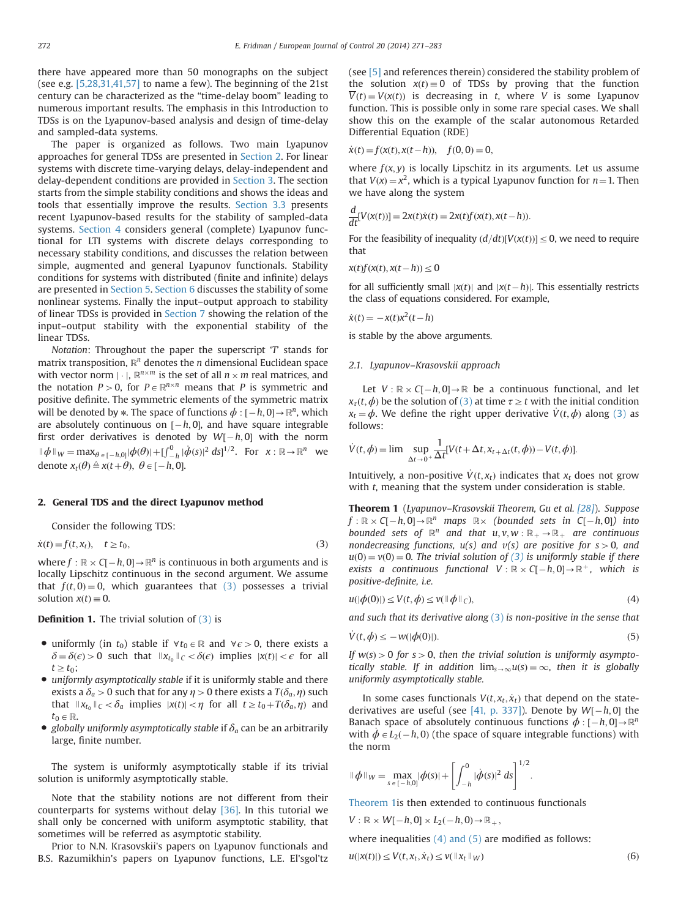<span id="page-1-0"></span>there have appeared more than 50 monographs on the subject (see e.g. [\[5,28,31,41,57\]](#page-12-0) to name a few). The beginning of the 21st century can be characterized as the "time-delay boom" leading to numerous important results. The emphasis in this Introduction to TDSs is on the Lyapunov-based analysis and design of time-delay and sampled-data systems.

The paper is organized as follows. Two main Lyapunov approaches for general TDSs are presented in Section 2. For linear systems with discrete time-varying delays, delay-independent and delay-dependent conditions are provided in [Section 3](#page-2-0). The section starts from the simple stability conditions and shows the ideas and tools that essentially improve the results. [Section 3.3](#page-5-0) presents recent Lyapunov-based results for the stability of sampled-data systems. [Section 4](#page-6-0) considers general (complete) Lyapunov functional for LTI systems with discrete delays corresponding to necessary stability conditions, and discusses the relation between simple, augmented and general Lyapunov functionals. Stability conditions for systems with distributed (finite and infinite) delays are presented in [Section 5](#page-8-0). [Section 6](#page-9-0) discusses the stability of some nonlinear systems. Finally the input–output approach to stability of linear TDSs is provided in [Section 7](#page-9-0) showing the relation of the input–output stability with the exponential stability of the linear TDSs.

Notation: Throughout the paper the superscript  $T$  stands for matrix transposition,  $\mathbb{R}^n$  denotes the *n* dimensional Euclidean space with vector norm  $|\cdot|$ ,  $\mathbb{R}^{n \times m}$  is the set of all  $n \times m$  real matrices, and the notation  $P > 0$ , for  $P \in \mathbb{R}^{n \times n}$  means that P is symmetric and positive definite. The symmetric elements of the symmetric matrix will be denoted by  $\ast$ . The space of functions  $\phi : [-h, 0] \rightarrow \mathbb{R}^n$ , which are absolutely continuous on  $[k, 0]$ , and have square integrable are absolutely continuous on  $[-h, 0]$ , and have square integrable<br>first order derivatives is denoted by  $M<sup>T</sup>$ , h 0, with the norm first order derivatives is denoted by  $W[-h, 0]$  with the norm  $\|\phi\|_{W} = \max_{\theta \in [-h,0]} |\phi(\theta)| + [\int_{-h}^{0} |\dot{\phi}(s)|^{2} ds]^{1/2}$ . For  $x : \mathbb{R} \to \mathbb{R}^{n}$  we denote  $x_t(\theta) \triangleq x(t+\theta), \ \theta \in [-h, 0].$ 

## 2. General TDS and the direct Lyapunov method

Consider the following TDS:

$$
\dot{x}(t) = f(t, x_t), \quad t \ge t_0,
$$
\n(3)

where  $f : \mathbb{R} \times \mathbb{C}[-h, 0] \rightarrow \mathbb{R}^n$  is continuous in both arguments and is locally Linschitz continuous in the second argument. We assume locally Lipschitz continuous in the second argument. We assume that  $f(t, 0) = 0$ , which guarantees that (3) possesses a trivial solution  $x(t) \equiv 0$ .

**Definition 1.** The trivial solution of  $(3)$  is

- uniformly (in  $t_0$ ) stable if  $\forall t_0 \in \mathbb{R}$  and  $\forall \epsilon > 0$ , there exists a  $\delta = \delta(\epsilon) > 0$  such that  $||x_{t_0}||_C < \delta(\epsilon)$  implies  $|x(t)| < \epsilon$  for all  $t\geq t_0$ ;
- uniformly asymptotically stable if it is uniformly stable and there exists a  $T(\delta_2, n)$  such that for any  $n > 0$  there exists a  $T(\delta_2, n)$  such exists a  $\delta_a > 0$  such that for any  $\eta > 0$  there exists a  $T(\delta_a, \eta)$  such that  $||\mathbf{v}_a||_2 < \delta$  implies  $||\mathbf{v}(t)||_2 = n$  for all  $t > t_a + T(\delta, \eta)$  and that  $||x_t||_C < \delta_a$  implies  $|x(t)| < \eta$  for all  $t \ge t_0 + T(\delta_a, \eta)$  and  $t_0 \in \mathbb{R}$ .
- globally uniformly asymptotically stable if  $\delta_a$  can be an arbitrarily large, finite number.

The system is uniformly asymptotically stable if its trivial solution is uniformly asymptotically stable.

Note that the stability notions are not different from their counterparts for systems without delay [\[36\]](#page-12-0). In this tutorial we shall only be concerned with uniform asymptotic stability, that sometimes will be referred as asymptotic stability.

Prior to N.N. Krasovskii's papers on Lyapunov functionals and B.S. Razumikhin's papers on Lyapunov functions, L.E. El'sgol'tz (see [\[5\]](#page-11-0) and references therein) considered the stability problem of the solution  $x(t) \equiv 0$  of TDSs by proving that the function  $\overline{V}(t) = V(x(t))$  is decreasing in t, where V is some Lyapunov function. This is possible only in some rare special cases. We shall show this on the example of the scalar autonomous Retarded Differential Equation (RDE)

$$
\dot{x}(t) = f(x(t), x(t-h)), \quad f(0,0) = 0,
$$

where  $f(x, y)$  is locally Lipschitz in its arguments. Let us assume that  $V(x) = x^2$ , which is a typical Lyapunov function for  $n = 1$ . Then we have along the system

$$
\frac{d}{dt}[V(x(t))] = 2x(t)\dot{x}(t) = 2x(t)f(x(t), x(t-h)).
$$

For the feasibility of inequality  $\left(\frac{d}{dt}\right)V(x(t))\leq 0$ , we need to require that

$$
x(t)f(x(t),x(t-h)) \le 0
$$

for all sufficiently small  $|x(t)|$  and  $|x(t-h)|$ . This essentially restricts the class of equations considered. For example the class of equations considered. For example,

$$
\dot{x}(t) = -x(t)x^2(t-h)
$$

is stable by the above arguments.

## 2.1. Lyapunov–Krasovskii approach

Let  $V : \mathbb{R} \times C[-h, 0] \rightarrow \mathbb{R}$  be a continuous functional, and let  $h$  be the solution of (3) at time  $\tau > t$  with the initial condition  $x_{\tau}(t, \phi)$  be the solution of (3) at time  $\tau \geq t$  with the initial condition  $x_t = \phi$ . We define the right upper derivative  $\dot{V}(t, \phi)$  along (3) as follows:

$$
\dot{V}(t, \phi) = \lim \sup_{\Delta t \to 0^+} \frac{1}{\Delta t} [V(t + \Delta t, x_{t + \Delta t}(t, \phi)) - V(t, \phi)].
$$

Intuitively, a non-positive  $\dot{V}(t, x_t)$  indicates that  $x_t$  does not grow with *t*, meaning that the system under consideration is stable.

Theorem 1 (Lyapunov–Krasovskii Theorem, Gu et al. [\[28\]](#page-11-0)). Suppose  $f: \mathbb{R} \times \mathbb{C}[-h,0] \rightarrow \mathbb{R}^n$  maps  $\mathbb{R} \times$  (bounded sets in  $\mathbb{C}[-h,0]$ ) into<br>hounded sets of  $\mathbb{R}^n$  and that  $\mathbb{R} \times \mathbb{R}$  are continuous bounded sets of  $\mathbb{R}^n$  and that  $u, v, w : \mathbb{R}_+ \to \mathbb{R}_+$  are continuous nondecreasing functions,  $u(s)$  and  $v(s)$  are positive for  $s>0$ , and  $u(0) = v(0) = 0$ . The trivial solution of (3) is uniformly stable if there exists a continuous functional  $V : \mathbb{R} \times C[-h,0] \rightarrow \mathbb{R}^+$ , which is nositive-definite i.e. positive-definite, i.e.

$$
u(|\phi(0)|) \le V(t, \phi) \le v(\|\phi\|_C), \tag{4}
$$

and such that its derivative along  $(3)$  is non-positive in the sense that

$$
\dot{V}(t,\phi) \le -w(|\phi(0)|). \tag{5}
$$

If  $w(s) > 0$  for  $s > 0$ , then the trivial solution is uniformly asymptotically stable. If in addition  $\lim_{s\to\infty}u(s)=\infty$ , then it is globally uniformly asymptotically stable.

In some cases functionals  $V(t, x_t, \dot{x}_t)$  that depend on the state-derivatives are useful (see [\[41, p. 337\]\)](#page-12-0). Denote by  $W[-h, 0]$  the<br>Banach space of absolutely continuous functions  $\phi : [-h, 0] \rightarrow \mathbb{R}^n$ Banach space of absolutely continuous functions  $\phi : [-h, 0] \to \mathbb{R}^n$ <br>with  $\phi \in L^2((h, 0))$  (the space of square integrable functions) with with  $\dot{\phi} \in L_2(-h, 0)$  (the space of square integrable functions) with the norm the norm

$$
\|\phi\|_{W}=\max_{s\in[-h,0]}|\phi(s)|+\left[\int_{-h}^{0}|\dot{\phi}(s)|^{2} ds\right]^{1/2}.
$$

Theorem 1is then extended to continuous functionals

 $V: \mathbb{R} \times W[-h, 0] \times L_2(-h, 0) \rightarrow \mathbb{R}_+,$ 

where inequalities  $(4)$  and  $(5)$  are modified as follows:

 $u(|x(t)|) \leq V(t, x_t, \dot{x}_t) \leq v(||x_t||_W)$  (6)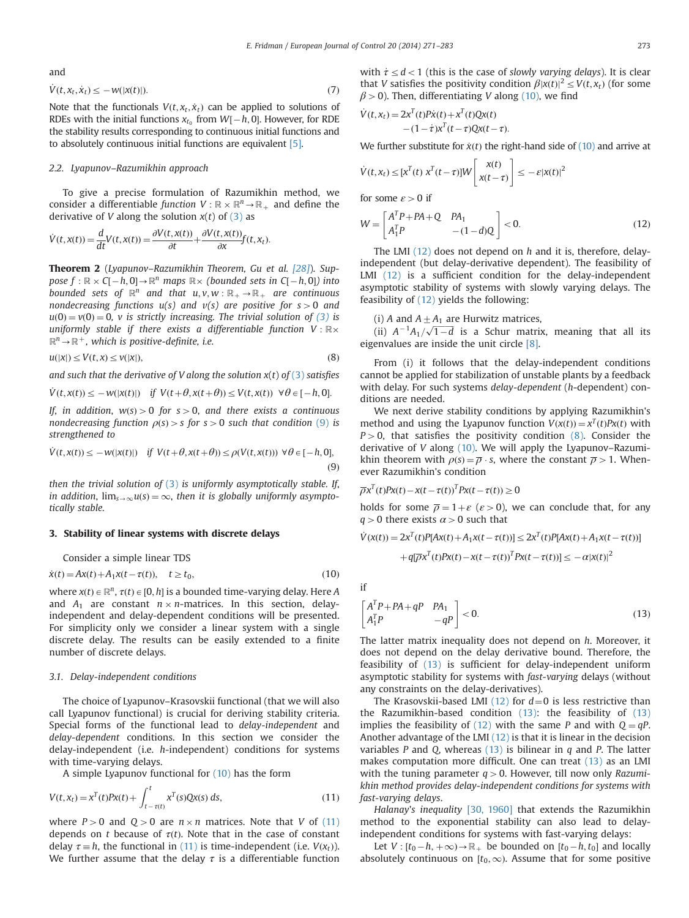<span id="page-2-0"></span>and

$$
\dot{V}(t, x_t, \dot{x}_t) \le -W(|x(t)|). \tag{7}
$$

Note that the functionals  $V(t, x_t, \dot{x}_t)$  can be applied to solutions of RDEs with the initial functions  $x_{t_0}$  from  $W[-h, 0]$ . However, for RDE<br>the stability results corresponding to continuous initial functions and the stability results corresponding to continuous initial functions and to absolutely continuous initial functions are equivalent [\[5\].](#page-11-0)

# 2.2. Lyapunov–Razumikhin approach

To give a precise formulation of Razumikhin method, we consider a differentiable function  $V : \mathbb{R} \times \mathbb{R}^n \to \mathbb{R}_+$  and define the derivative of V along the solution  $x(t)$  of [\(3\)](#page-1-0) as

$$
\dot{V}(t,x(t)) = \frac{d}{dt}V(t,x(t)) = \frac{\partial V(t,x(t))}{\partial t} + \frac{\partial V(t,x(t))}{\partial x}f(t,x_t).
$$

Theorem 2 (Lyapunov–Razumikhin Theorem, Gu et al. [\[28\]](#page-11-0)). Suppose  $f : \mathbb{R} \times (-h, 0] \to \mathbb{R}^n$  maps  $\mathbb{R} \times$  (bounded sets in  $C[-h, 0]$ ) into<br>bounded sets of  $\mathbb{R}^n$  and that  $\mathbb{R} \times \mathbb{R}$  are continuous bounded sets of  $\mathbb{R}^n$  and that  $u, v, w : \mathbb{R}_+ \to \mathbb{R}_+$  are continuous nondecreasing functions  $u(s)$  and  $v(s)$  are positive for  $s>0$  and  $u(0) = v(0) = 0$ , v is strictly increasing. The trivial solution of [\(3\)](#page-1-0) is uniformly stable if there exists a differentiable function  $V : \mathbb{R} \times$  $\mathbb{R}^n \rightarrow \mathbb{R}^+$ , which is positive-definite, i.e.

$$
u(|x|) \le V(t, x) \le v(|x|),\tag{8}
$$

and such that the derivative of V along the solution  $x(t)$  of [\(3\)](#page-1-0) satisfies

$$
\dot{V}(t, x(t)) \le -w(|x(t)|) \quad \text{if } V(t+\theta, x(t+\theta)) \le V(t, x(t)) \quad \forall \theta \in [-h, 0].
$$

If, in addition,  $w(s) > 0$  for  $s > 0$ , and there exists a continuous<br>nondecreasing function  $q(s) \leq s$  for  $s > 0$  such that condition (9) is nondecreasing function  $\rho(s) > s$  for  $s > 0$  such that condition (9) is strengthened to strengthened to

$$
\dot{V}(t, x(t)) \le -w(|x(t)|) \quad \text{if } V(t+\theta, x(t+\theta)) \le \rho(V(t, x(t))) \ \forall \theta \in [-h, 0],
$$
\n(9)

then the trivial solution of  $(3)$  is uniformly asymptotically stable. If, in addition,  $\lim_{s\to\infty}u(s)=\infty$ , then it is globally uniformly asymptotically stable.

## 3. Stability of linear systems with discrete delays

Consider a simple linear TDS

$$
\dot{x}(t) = Ax(t) + A_1 x(t - \tau(t)), \quad t \ge t_0,
$$
\n(10)

where  $x(t) \in \mathbb{R}^n$ ,  $\tau(t) \in [0, h]$  is a bounded time-varying delay. Here A and  $A_1$  are constant  $n \times n$ -matrices. In this section, delayindependent and delay-dependent conditions will be presented. For simplicity only we consider a linear system with a single discrete delay. The results can be easily extended to a finite number of discrete delays.

## 3.1. Delay-independent conditions

The choice of Lyapunov–Krasovskii functional (that we will also call Lyapunov functional) is crucial for deriving stability criteria. Special forms of the functional lead to delay-independent and delay-dependent conditions. In this section we consider the delay-independent (i.e. h-independent) conditions for systems with time-varying delays.

A simple Lyapunov functional for (10) has the form

$$
V(t, x_t) = x^T(t)Px(t) + \int_{t-\tau(t)}^t x^T(s)Qx(s) \, ds,\tag{11}
$$

where  $P>0$  and  $Q>0$  are  $n \times n$  matrices. Note that V of (11) depends on t because of  $\tau(t)$ . Note that in the case of constant delay  $\tau = h$ , the functional in (11) is time-independent (i.e.  $V(x_t)$ ). We further assume that the delay  $\tau$  is a differentiable function with  $\dot{\tau} \leq d < 1$  (this is the case of slowly varying delays). It is clear that *V* satisfies the positivity condition  $\beta |x(t)|^2 \le V(t, x_t)$  (for some  $\beta$  > 0). Then, differentiating V along (10), we find

$$
\dot{V}(t, x_t) = 2x^T(t)Px(t) + x^T(t)Qx(t)
$$

$$
- (1 - \dot{\tau})x^T(t - \tau)Qx(t - \tau).
$$

We further substitute for  $\dot{x}(t)$  the right-hand side of (10) and arrive at

$$
\dot{V}(t, x_t) \le [x^T(t) \; x^T(t-\tau)]W\left[\begin{array}{c} x(t) \\ x(t-\tau) \end{array}\right] \le -\varepsilon |x(t)|^2
$$

for some  $\varepsilon > 0$  if

$$
W = \begin{bmatrix} A^T P + P A + Q & P A_1 \\ A_1^T P & -(1 - d) Q \end{bmatrix} < 0.
$$
 (12)

The LMI  $(12)$  does not depend on h and it is, therefore, delayindependent (but delay-derivative dependent). The feasibility of LMI (12) is a sufficient condition for the delay-independent asymptotic stability of systems with slowly varying delays. The feasibility of (12) yields the following:

(i) A and  $A \pm A_1$  are Hurwitz matrices,

(ii)  $A^{-1}A_1/\sqrt{1-d}$  is a Schur matrix, meaning that all its envalues are inside the unit circle [8] eigenvalues are inside the unit circle [\[8\].](#page-11-0)

From (i) it follows that the delay-independent conditions cannot be applied for stabilization of unstable plants by a feedback with delay. For such systems *delay-dependent* (h-dependent) conditions are needed.

We next derive stability conditions by applying Razumikhin's method and using the Lyapunov function  $V(x(t)) = x^T(t)Px(t)$  with  $P>0$ , that satisfies the positivity condition (8). Consider the derivative of  $V$  along  $(10)$ . We will apply the Lyapunov–Razumikhin theorem with  $\rho(s) = \overline{\rho} \cdot s$ , where the constant  $\overline{\rho} > 1$ . Whenever Razumikhin's condition

$$
\overline{\rho}x^{T}(t)Px(t) - x(t - \tau(t))^{T}Px(t - \tau(t)) \ge 0
$$
  
holds for some  $\overline{\rho} = 1 + \varepsilon$  ( $\varepsilon > 0$ ), we can conclude that, for any  $q > 0$  there exists  $\alpha > 0$  such that  

$$
\dot{V}(x(t)) = 2x^{T}(t)P[Ax(t) + A_{1}x(t - \tau(t))] \le 2x^{T}(t)P[Ax(t) + A_{1}x(t - \tau(t))]
$$

if

$$
\begin{bmatrix} A^T P + P A + qP & P A_1 \ A_1^T P & -qP \end{bmatrix} < 0.
$$
 (13)

+ $q[\overline{\rho}x^T(t)Px(t) - x(t-\tau(t))^TPx(t-\tau(t))] \le -\alpha |x(t)|^2$ 

The latter matrix inequality does not depend on h. Moreover, it does not depend on the delay derivative bound. Therefore, the feasibility of (13) is sufficient for delay-independent uniform asymptotic stability for systems with fast-varying delays (without any constraints on the delay-derivatives).

The Krasovskii-based LMI (12) for  $d=0$  is less restrictive than the Razumikhin-based condition (13): the feasibility of (13) implies the feasibility of (12) with the same P and with  $Q = qP$ . Another advantage of the LMI  $(12)$  is that it is linear in the decision variables  $P$  and  $Q$ , whereas (13) is bilinear in  $q$  and  $P$ . The latter makes computation more difficult. One can treat (13) as an LMI with the tuning parameter  $q>0$ . However, till now only Razumikhin method provides delay-independent conditions for systems with fast-varying delays.

Halanay's inequality [\[30, 1960\]](#page-11-0) that extends the Razumikhin method to the exponential stability can also lead to delayindependent conditions for systems with fast-varying delays:

Let  $V : [t_0 - h, +\infty) \to \mathbb{R}_+$  be bounded on  $[t_0 - h, t_0]$  and locally continuous on  $[t_0, \infty)$ . Assume that for some positive absolutely continuous on  $[t_0, \infty)$ . Assume that for some positive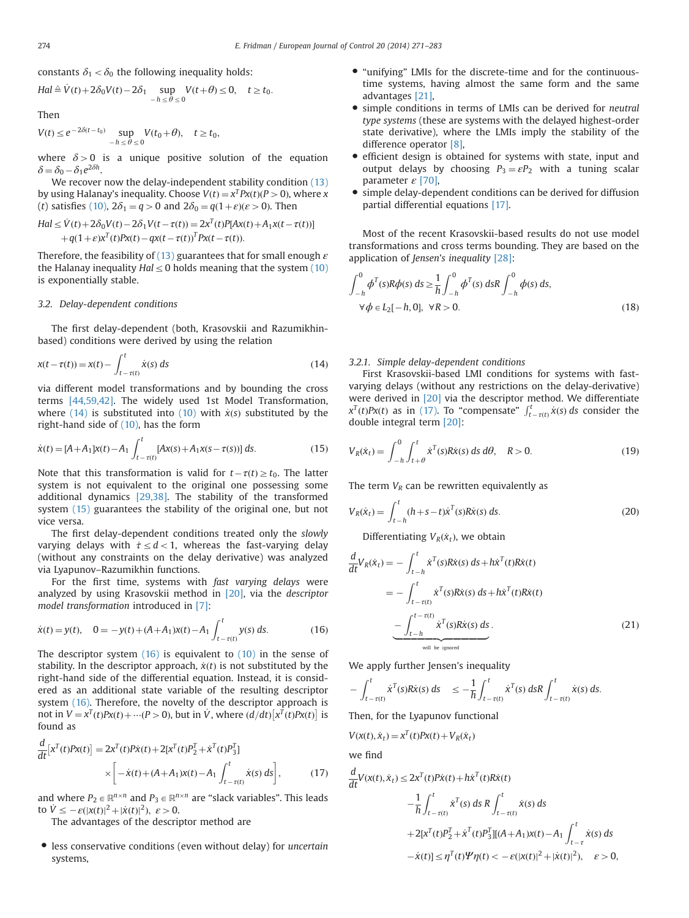<span id="page-3-0"></span>constants  $\delta_1 < \delta_0$  the following inequality holds:

$$
Hal \triangleq V(t) + 2\delta_0 V(t) - 2\delta_1 \sup_{-h \le \theta \le 0} V(t + \theta) \le 0, \quad t \ge t_0.
$$

Then

$$
V(t) \le e^{-2\delta(t-t_0)} \sup_{-h \le \theta \le 0} V(t_0+\theta), \quad t \ge t_0,
$$

where  $\delta > 0$  is a unique positive solution of the equation  $\delta = \delta_0 - \delta_1 e^{2\delta h}$ .<br>Me recover

We recover now the delay-independent stability condition [\(13\)](#page-2-0) by using Halanay's inequality. Choose  $V(t) = x^T P x(t) (P > 0)$ , where x (t) satisfies [\(10\)](#page-2-0),  $2\delta_1 = q > 0$  and  $2\delta_0 = q(1+\varepsilon)(\varepsilon > 0)$ . Then

$$
Hal \leq V(t) + 2\delta_0 V(t) - 2\delta_1 V(t - \tau(t)) = 2x^T(t)P[Ax(t) + A_1x(t - \tau(t))] + q(1+\varepsilon)x^T(t)Px(t) - qx(t - \tau(t))^T Px(t - \tau(t)).
$$

Therefore, the feasibility of [\(13\)](#page-2-0) guarantees that for small enough  $\varepsilon$ the Halanay inequality  $Hal \leq 0$  holds meaning that the system [\(10\)](#page-2-0) is exponentially stable.

# 3.2. Delay-dependent conditions

The first delay-dependent (both, Krasovskii and Razumikhinbased) conditions were derived by using the relation

$$
x(t - \tau(t)) = x(t) - \int_{t - \tau(t)}^{t} \dot{x}(s) ds
$$
\n(14)

via different model transformations and by bounding the cross terms [\[44,59,42\]](#page-12-0). The widely used 1st Model Transformation, where (14) is substituted into [\(10\)](#page-2-0) with  $\dot{x}(s)$  substituted by the right-hand side of [\(10\),](#page-2-0) has the form

$$
\dot{x}(t) = [A + A_1]x(t) - A_1 \int_{t-\tau(t)}^t [Ax(s) + A_1x(s - \tau(s))] ds.
$$
\n(15)

Note that this transformation is valid for  $t - \tau(t) \geq t_0$ . The latter existence is not equivalent to the original one possessing some system is not equivalent to the original one possessing some additional dynamics [\[29,38\].](#page-12-0) The stability of the transformed system (15) guarantees the stability of the original one, but not vice versa.

The first delay-dependent conditions treated only the slowly varying delays with  $\dot{\tau} \leq d < 1$ , whereas the fast-varying delay (without any constraints on the delay derivative) was analyzed via Lyapunov–Razumikhin functions.

For the first time, systems with fast varying delays were analyzed by using Krasovskii method in [\[20\]](#page-11-0), via the descriptor model transformation introduced in [\[7\]:](#page-11-0)

$$
\dot{x}(t) = y(t), \quad 0 = -y(t) + (A + A_1)x(t) - A_1 \int_{t - \tau(t)}^{t} y(s) \, ds. \tag{16}
$$

The descriptor system  $(16)$  is equivalent to  $(10)$  in the sense of stability. In the descriptor approach,  $\dot{x}(t)$  is not substituted by the right-hand side of the differential equation. Instead, it is considered as an additional state variable of the resulting descriptor system (16). Therefore, the novelty of the descriptor approach is not in  $V = x^T(t)Px(t) + \cdots (P > 0)$ , but in  $\dot{V}$ , where  $\left(\frac{d}{dt}\right)[x^T(t)Px(t)]$  is found as

$$
\frac{d}{dt} [x^T(t)Px(t)] = 2x^T(t)P\dot{x}(t) + 2[x^T(t)P_2^T + \dot{x}^T(t)P_3^T] \times \left[ -\dot{x}(t) + (A+A_1)x(t) - A_1 \int_{t-\tau(t)}^t \dot{x}(s) ds \right],
$$
\n(17)

and where  $P_2 \in \mathbb{R}^{n \times n}$  and  $P_3 \in \mathbb{R}^{n \times n}$  are "slack variables". This leads to  $\dot{V} \leq -\varepsilon(|x(t)|^2 + |\dot{x}(t)|^2), \ \varepsilon > 0.$ <br>The advantages of the descri-

The advantages of the descriptor method are

 less conservative conditions (even without delay) for uncertain systems,

- "unifying" LMIs for the discrete-time and for the continuoustime systems, having almost the same form and the same advantages [\[21\],](#page-11-0)
- simple conditions in terms of LMIs can be derived for neutral type systems (these are systems with the delayed highest-order state derivative), where the LMIs imply the stability of the difference operator [\[8\]](#page-11-0),
- efficient design is obtained for systems with state, input and output delays by choosing  $P_3 = \varepsilon P_2$  with a tuning scalar parameter  $\varepsilon$  [\[70\]](#page-12-0).
- simple delay-dependent conditions can be derived for diffusion partial differential equations [\[17\].](#page-11-0)

Most of the recent Krasovskii-based results do not use model transformations and cross terms bounding. They are based on the application of Jensen's inequality [\[28\]:](#page-11-0)

$$
\int_{-h}^{0} \phi^{T}(s) R \phi(s) ds \ge \frac{1}{h} \int_{-h}^{0} \phi^{T}(s) ds R \int_{-h}^{0} \phi(s) ds,\forall \phi \in L_{2}[-h, 0], \forall R > 0.
$$
\n(18)

3.2.1. Simple delay-dependent conditions

First Krasovskii-based LMI conditions for systems with fastvarying delays (without any restrictions on the delay-derivative) were derived in [\[20\]](#page-11-0) via the descriptor method. We differentiate  $x^{T}(t)Px(t)$  as in (17). To "compensate"  $\int_{t-\tau(t)}^{t} \dot{x}(s) ds$  consider the double integral term [20]. double integral term [\[20\]:](#page-11-0)

$$
V_R(\dot{x}_t) = \int_{-h}^0 \int_{t+\theta}^t \dot{x}^T(s) R\dot{x}(s) \, ds \, d\theta, \quad R > 0. \tag{19}
$$

The term  $V_R$  can be rewritten equivalently as

$$
V_R(\dot{x}_t) = \int_{t-h}^t (h+s-t)\dot{x}^T(s)R\dot{x}(s) \, ds. \tag{20}
$$

Differentiating  $V_R(\dot{x}_t)$ , we obtain

$$
\frac{d}{dt}V_R(\dot{x}_t) = -\int_{t-h}^t \dot{x}^T(s)R\dot{x}(s) ds + h\dot{x}^T(t)R\dot{x}(t)
$$
\n
$$
= -\int_{t-\tau(t)}^t \dot{x}^T(s)R\dot{x}(s) ds + h\dot{x}^T(t)R\dot{x}(t)
$$
\n
$$
-\int_{t-h}^{t-\tau(t)} \dot{x}^T(s)R\dot{x}(s) ds.
$$
\n(21)

We apply further Jensen's inequality

$$
-\int_{t-\tau(t)}^t \dot{x}^T(s)R\dot{x}(s) ds \leq -\frac{1}{h}\int_{t-\tau(t)}^t \dot{x}^T(s) ds R \int_{t-\tau(t)}^t \dot{x}(s) ds.
$$

Then, for the Lyapunov functional

$$
V(x(t), \dot{x}_t) = x^T(t)Px(t) + V_R(\dot{x}_t)
$$

we find

$$
\frac{d}{dt}V(x(t), \dot{x}_t) \le 2x^T(t)P\dot{x}(t) + h\dot{x}^T(t)R\dot{x}(t) \n- \frac{1}{h} \int_{t-\tau(t)}^t \dot{x}^T(s) ds R \int_{t-\tau(t)}^t \dot{x}(s) ds \n+ 2[x^T(t)P_2^T + \dot{x}^T(t)P_3^T][(A+A_1)x(t) - A_1 \int_{t-\tau}^t \dot{x}(s) ds \n- \dot{x}(t)] \le \eta^T(t)\Psi\eta(t) < -\varepsilon(|x(t)|^2 + |\dot{x}(t)|^2), \quad \varepsilon > 0,
$$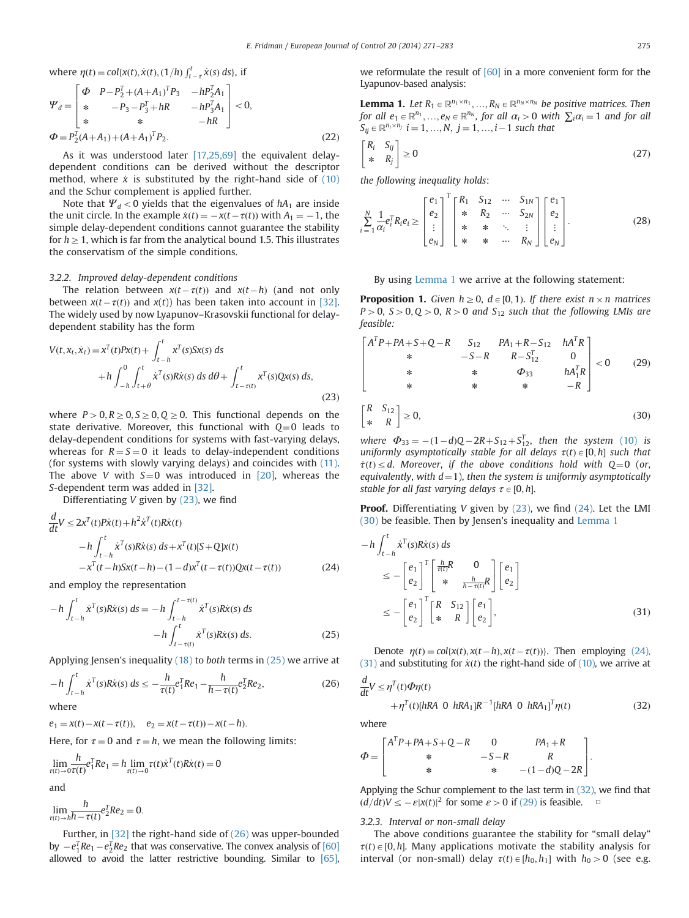<span id="page-4-0"></span>where 
$$
\eta(t) = \text{col}\{x(t), \dot{x}(t), (1/h)\int_{t-\tau}^{t} \dot{x}(s) ds\}
$$
, if

$$
\Psi_d = \begin{bmatrix}\n\Phi & P - P_2^T + (A + A_1)^T P_3 & -h P_2^T A_1 \\
* & -P_3 - P_3^T + hR & -h P_3^T A_1 \\
* & * & -hR\n\end{bmatrix} < 0,
$$
\n
$$
\Phi = P_2^T (A + A_1) + (A + A_1)^T P_2.
$$
\n(22)

As it was understood later [\[17,25,69\]](#page-12-0) the equivalent delaydependent conditions can be derived without the descriptor method, where  $\dot{x}$  is substituted by the right-hand side of [\(10\)](#page-2-0) and the Schur complement is applied further.

Note that  $\Psi_d$  < 0 yields that the eigenvalues of  $hA_1$  are inside the unit circle. In the example  $\dot{x}(t) = -x(t-\tau(t))$  with  $A_1 = -1$ , the simple delay-dependent conditions cannot guarantee the stability simple delay-dependent conditions cannot guarantee the stability for  $h \geq 1$ , which is far from the analytical bound 1.5. This illustrates the conservatism of the simple conditions.

## 3.2.2. Improved delay-dependent conditions

The relation between  $x(t-\tau(t))$  and  $x(t-h)$  (and not only ween  $y(t-\tau(t))$  and  $y(t)$  has been taken into account in [32] between  $x(t-\tau(t))$  and  $x(t)$  has been taken into account in [\[32\].](#page-12-0)<br>The widely used by now Uvanupov-Krasovskij functional for delay-The widely used by now Lyapunov–Krasovskii functional for delaydependent stability has the form

$$
V(t, x_t, \dot{x}_t) = x^T(t)Px(t) + \int_{t-h}^t x^T(s)Sx(s) ds
$$
  
+  $h \int_{-h}^0 \int_{t+\theta}^t \dot{x}^T(s)R\dot{x}(s) ds d\theta + \int_{t-\tau(t)}^t x^T(s)Qx(s) ds,$  (23)

where  $P>0, R\geq0, S\geq0, Q\geq0$ . This functional depends on the state derivative. Moreover, this functional with  $Q=0$  leads to delay-dependent conditions for systems with fast-varying delays, whereas for  $R = S = 0$  it leads to delay-independent conditions (for systems with slowly varying delays) and coincides with [\(11\).](#page-2-0) The above V with  $S=0$  was introduced in [\[20\]](#page-11-0), whereas the S-dependent term was added in [\[32\]](#page-12-0).

Differentiating V given by (23), we find

$$
\frac{d}{dt}V \le 2x^{T}(t)Px(t) + h^{2}\dot{x}^{T}(t)Rx(t)
$$
\n
$$
-h \int_{t-h}^{t} \dot{x}^{T}(s)Rx(s) ds + x^{T}(t)[S+Q]x(t)
$$
\n
$$
-x^{T}(t-h)Sx(t-h) - (1-d)x^{T}(t-\tau(t))Qx(t-\tau(t)) \qquad (24)
$$

and employ the representation

$$
-h \int_{t-h}^{t} \dot{x}^{T}(s)R\dot{x}(s) ds = -h \int_{t-h}^{t-\tau(t)} \dot{x}^{T}(s)R\dot{x}(s) ds -h \int_{t-\tau(t)}^{t} \dot{x}^{T}(s)R\dot{x}(s) ds.
$$
 (25)

Applying Jensen's inequality  $(18)$  to *both* terms in  $(25)$  we arrive at

$$
-h \int_{t-h}^{t} \dot{x}^{T}(s) R \dot{x}(s) ds \le -\frac{h}{\tau(t)} e_{1}^{T} R e_{1} - \frac{h}{h-\tau(t)} e_{2}^{T} R e_{2}, \qquad (26)
$$

where

 $e_1 = x(t) - x(t - \tau(t)), \quad e_2 = x(t - \tau(t)) - x(t - h).$ 

Here, for  $\tau = 0$  and  $\tau = h$ , we mean the following limits:

$$
\lim_{\tau(t)\to 0\tau(t)} \frac{h}{\tau(t)} e_1^T Re_1 = h \lim_{\tau(t)\to 0} \tau(t) \dot{x}^T(t) R \dot{x}(t) = 0
$$

and

$$
\lim_{\tau(t)\to h\bar{h}-\tau(t)}e_2^T Re_2=0.
$$

Further, in [\[32\]](#page-12-0) the right-hand side of (26) was upper-bounded by  $-e_1^T Re_1 - e_2^T Re_2$  that was conservative. The convex analysis of [\[60\]](#page-12-0) by  $-e_1^T Re_1 - e_2^T Re_2$  that was conservative. hounding Similar, to [65] allowed to avoid the latter restrictive bounding. Similar to [\[65\],](#page-12-0) we reformulate the result of [\[60\]](#page-12-0) in a more convenient form for the Lyapunov-based analysis:

**Lemma 1.** Let  $R_1 \in \mathbb{R}^{n_1 \times n_1}$ , ...,  $R_N \in \mathbb{R}^{n_N \times n_N}$  be positive matrices. Then for all  $e_1 \in \mathbb{R}^{n_1}$ , …,  $e_N \in \mathbb{R}^{n_N}$ , for all  $\alpha_i > 0$  with  $\sum_i \alpha_i = 1$  and for all  $S_{ij} \in \mathbb{R}^{n_i \times n_j}$   $i = 1, ..., N, j = 1, ..., i-1$  such that

$$
\begin{bmatrix} R_i & S_{ij} \\ * & R_j \end{bmatrix} \ge 0 \tag{27}
$$

the following inequality holds:

$$
\sum_{i=1}^{N} \frac{1}{\alpha_i} e_i^T R_i e_i \ge \begin{bmatrix} e_1 \\ e_2 \\ \vdots \\ e_N \end{bmatrix}^T \begin{bmatrix} R_1 & S_{12} & \cdots & S_{1N} \\ * & R_2 & \cdots & S_{2N} \\ * & * & \ddots & \vdots \\ * & * & \cdots & R_N \end{bmatrix} \begin{bmatrix} e_1 \\ e_2 \\ \vdots \\ e_N \end{bmatrix} .
$$
 (28)

By using Lemma 1 we arrive at the following statement:

**Proposition 1.** Given  $h \geq 0$ ,  $d \in [0, 1)$ . If there exist  $n \times n$  matrices  $P>0$ ,  $S>0$ ,  $Q>0$ ,  $R>0$  and  $S_{12}$  such that the following LMIs are feasible:

$$
\begin{bmatrix}\nA^T P + PA + S + Q - R & S_{12} & PA_1 + R - S_{12} & hA^T R \\
* & -S - R & R - S_{12}^T & 0 \\
* & * & \Phi_{33} & hA_1^T R \\
* & * & * & -R\n\end{bmatrix} < 0 \tag{29}
$$
\n
$$
\begin{bmatrix}\nR & S_{12} \\
* & R\n\end{bmatrix} \ge 0, \tag{30}
$$

where  $\Phi_{33} = -(1-d)Q - 2R + S_{12} + S_{12}^T$ , then the system [\(10\)](#page-2-0) is<br>uniformly asymptotically stable for all delays  $\tau(t) \in [0, b]$  such that uniformly asymptotically stable for all delays  $\tau(t) \in [0, h]$  such that  $\dot{\tau}(t) \leq d$ . Moreover, if the above conditions hold with Q=0 (or, equivalently, with  $d=1$ ), then the system is uniformly asymptotically stable for all fast varying delays  $\tau \in [0, h]$ .

Proof. Differentiating V given by (23), we find (24). Let the LMI (30) be feasible. Then by Jensen's inequality and Lemma 1

$$
-h \int_{t-h}^{t} \dot{x}^{T}(s) R\dot{x}(s) ds
$$
  
\n
$$
\leq -\left[e_{1}\right]^{T} \left[\begin{array}{cc} \frac{h}{\tau(t)} R & 0\\ * & \frac{h}{h-\tau(t)} R \end{array}\right] \left[e_{1}\right]
$$
  
\n
$$
\leq -\left[e_{1}\right]^{T} \left[\begin{array}{cc} R & S_{12} \\ * & R \end{array}\right] \left[e_{1}\right], \tag{31}
$$

Denote  $\eta(t) = \frac{col\{x(t), x(t-h), x(t-\tau(t))\}}{t}$ . Then employing (24), and substituting for  $\dot{x}(t)$  the right-hand side of (10), we arrive at (31) and substituting for  $\dot{x}(t)$  the right-hand side of [\(10\)](#page-2-0), we arrive at

$$
\frac{d}{dt}V \leq \eta^{T}(t)\Phi\eta(t)
$$
\n
$$
+ \eta^{T}(t)[hRA \ 0 \ hRA_{1}]R^{-1}[hRA \ 0 \ hRA_{1}]^{T}\eta(t)
$$
\n(32)

where

$$
\Phi = \begin{bmatrix} A^T P + P A + S + Q - R & 0 & P A_1 + R \\ * & -S - R & R \\ * & * & -(1 - d)Q - 2R \end{bmatrix}.
$$

Applying the Schur complement to the last term in (32), we find that  $\left(\frac{d}{dt}V \leq -\varepsilon |x(t)|^2 \right)$  for some  $\varepsilon > 0$  if (29) is feasible.  $\Box$ 

## 3.2.3. Interval or non-small delay

The above conditions guarantee the stability for "small delay"  $\tau(t) \in [0, h]$ . Many applications motivate the stability analysis for interval (or non-small) delay  $\tau(t) \in [h_0, h_1]$  with  $h_0 > 0$  (see e.g.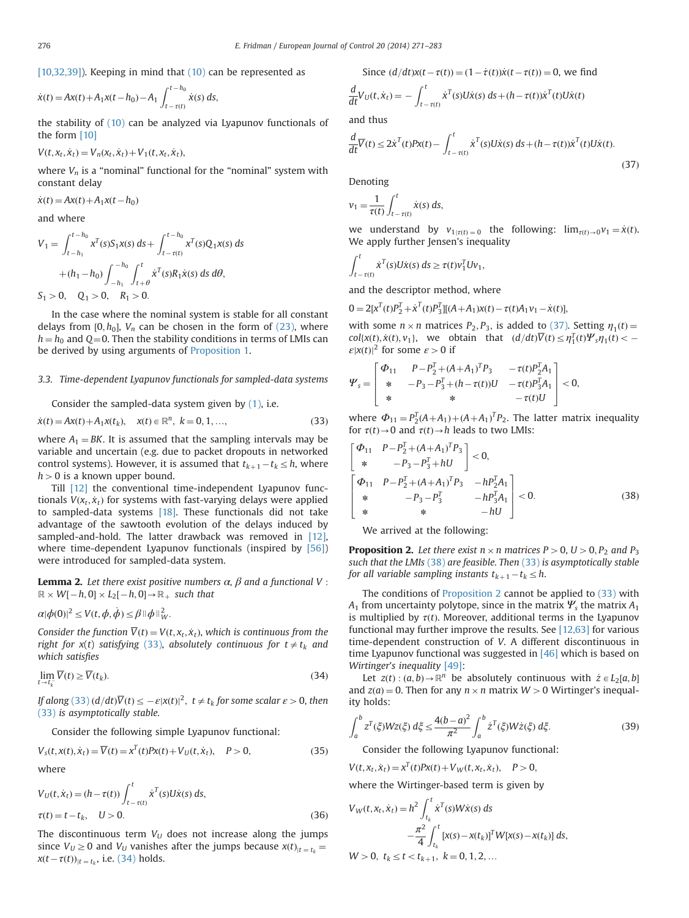<span id="page-5-0"></span>[\[10,32,39\]](#page-12-0)). Keeping in mind that [\(10\)](#page-2-0) can be represented as

$$
\dot{x}(t) = Ax(t) + A_1 x(t - h_0) - A_1 \int_{t - \tau(t)}^{t - h_0} \dot{x}(s) \, ds,
$$

the stability of [\(10\)](#page-2-0) can be analyzed via Lyapunov functionals of the form [\[10\]](#page-11-0)

 $V(t, x_t, \dot{x}_t) = V_n(x_t, \dot{x}_t) + V_1(t, x_t, \dot{x}_t),$ 

where  $V_n$  is a "nominal" functional for the "nominal" system with constant delay

 $\dot{x}(t) = Ax(t) + A_1x(t-h_0)$ 

and where

$$
V_1 = \int_{t-h_1}^{t-h_0} x^T(s) S_1 x(s) ds + \int_{t-\tau(t)}^{t-h_0} x^T(s) Q_1 x(s) ds
$$
  
+  $(h_1 - h_0) \int_{-h_1}^{-h_0} \int_{t+\theta}^t \dot{x}^T(s) R_1 \dot{x}(s) ds d\theta,$   
 $S_1 > 0$ ,  $Q_1 > 0$ ,  $R_1 > 0$ .

In the case where the nominal system is stable for all constant delays from [0, $h_0$ ],  $V_n$  can be chosen in the form of [\(23\)](#page-4-0), where  $h = h_0$  and Q=0. Then the stability conditions in terms of LMIs can be derived by using arguments of [Proposition 1](#page-4-0).

# 3.3. Time-dependent Lyapunov functionals for sampled-data systems

Consider the sampled-data system given by [\(1\),](#page-0-0) i.e.

$$
\dot{x}(t) = Ax(t) + A_1 x(t_k), \quad x(t) \in \mathbb{R}^n, \ k = 0, 1, ..., \tag{33}
$$

where  $A_1 = BK$ . It is assumed that the sampling intervals may be variable and uncertain (e.g. due to packet dropouts in networked control systems). However, it is assumed that  $t_{k+1} - t_k \leq h$ , where  $h > 0$  is a known upper bound  $h > 0$  is a known upper bound.

Till [\[12\]](#page-11-0) the conventional time-independent Lyapunov functionals  $V(x_t, \dot{x}_t)$  for systems with fast-varying delays were applied to sampled-data systems [\[18\]](#page-11-0). These functionals did not take advantage of the sawtooth evolution of the delays induced by sampled-and-hold. The latter drawback was removed in [\[12\],](#page-11-0) where time-dependent Lyapunov functionals (inspired by [\[56\]\)](#page-12-0) were introduced for sampled-data system.

**Lemma 2.** Let there exist positive numbers  $\alpha$ ,  $\beta$  and a functional V :  $\mathbb{R} \times W[-h, 0] \times L_2[-h, 0] \rightarrow \mathbb{R}_+$  such that

$$
\alpha |\phi(0)|^2 \le V(t, \phi, \dot{\phi}) \le \beta \|\phi\|_W^2.
$$

Consider the function  $\overline{V}(t) = V(t, x_t, \dot{x}_t)$ , which is continuous from the right for  $x(t)$  satisfying (33), absolutely continuous for  $t \neq t_k$  and which satisfies

$$
\lim_{t \to t_k^-} \overline{V}(t) \ge \overline{V}(t_k). \tag{34}
$$

If along (33)  $\left(\frac{d}{dt}\right)\overline{V}(t) \leq -\varepsilon |x(t)|^2$ ,  $t \neq t_k$  for some scalar  $\varepsilon > 0$ , then (33) is asymptotically stable (33) is asymptotically stable.

Consider the following simple Lyapunov functional:

$$
V_s(t, x(t), \dot{x}_t) = \overline{V}(t) = x^T(t)Px(t) + V_U(t, \dot{x}_t), \quad P > 0,
$$
\nwhere

 $V_U(t, \dot{x}_t) = (h - \tau(t)) \int_{t-\tau(t)}^t \dot{x}^T(s) U \dot{x}(s) ds,$ 

$$
\tau(t) = t - t_k, \quad U > 0.
$$
 (36)

The discontinuous term  $V_U$  does not increase along the jumps since  $V_U \geq 0$  and  $V_U$  vanishes after the jumps because  $x(t)_{|t| = t_k} =$  $x(t-\tau(t))_{|t=t_k}$ , i.e. (34) holds.

Since 
$$
(d/dt)x(t - \tau(t)) = (1 - \dot{\tau}(t))\dot{x}(t - \tau(t)) = 0
$$
, we find  
\n
$$
\frac{d}{dt}V_U(t, \dot{x}_t) = -\int_{t-\tau(t)}^t \dot{x}^T(s)U\dot{x}(s) ds + (h - \tau(t))\dot{x}^T(t)U\dot{x}(t)
$$

and thus

$$
\frac{d}{dt}\overline{V}(t) \le 2\dot{x}^{T}(t)Px(t) - \int_{t-\tau(t)}^{t} \dot{x}^{T}(s)U\dot{x}(s) ds + (h-\tau(t))\dot{x}^{T}(t)U\dot{x}(t).
$$
\n(37)

Denoting

$$
v_1 = \frac{1}{\tau(t)} \int_{t-\tau(t)}^t \dot{x}(s) \, ds,
$$

we understand by  $v_{1|\tau(t)=0}$  the following:  $\lim_{\tau(t)\to 0}v_1 = \dot{x}(t)$ . We apply further Jensen's inequality

$$
\int_{t-\tau(t)}^t \dot{x}^T(s)U\dot{x}(s)\,ds \geq \tau(t)v_1^T Uv_1,
$$

and the descriptor method, where

$$
0 = 2[xT(t)P2T + \dot{x}T(t)P3T][(A + A1)x(t) - \tau(t)A1v1 - \dot{x}(t)],
$$

with some  $n \times n$  matrices  $P_2, P_3$ , is added to (37). Setting  $\eta_1(t) =$  $col\{x(t), \dot{x}(t), v_1\},$  we obtain that  $(d/dt)\overline{V}(t) \le \eta_1^T(t)\Psi_s \eta_1(t) < -\frac{C\left|\mathcal{V}(t)\right|^2}{2}$  for some  $s > 0$  if  $\epsilon |x(t)|^2$  for some  $\epsilon > 0$  if

$$
\mathcal{Y}_s = \begin{bmatrix} \Phi_{11} & P - P_2^T + (A + A_1)^T P_3 & -\tau(t) P_2^T A_1 \\ * & -P_3 - P_3^T + (h - \tau(t))U & -\tau(t) P_3^T A_1 \\ * & * & -\tau(t)U \end{bmatrix} < 0,
$$

where  $\Phi_{11} = P_2^T (A + A_1) + (A + A_1)^T P_2$ . The latter matrix inequality for  $\tau(t) > 0$  and  $\tau(t) > h$  leads to two UMs: for  $\tau(t) \rightarrow 0$  and  $\tau(t) \rightarrow h$  leads to two LMIs:

$$
\begin{bmatrix}\n\Phi_{11} & P - P_2^T + (A + A_1)^T P_3 \\
* & -P_3 - P_3^T + hU\n\end{bmatrix} < 0,
$$
\n
$$
\begin{bmatrix}\n\Phi_{11} & P - P_2^T + (A + A_1)^T P_3 & -h P_2^T A_1 \\
* & -P_3 - P_3^T & -h P_3^T A_1 \\
* & * & -hU\n\end{bmatrix} < 0.
$$
\n(38)

We arrived at the following:

**Proposition 2.** Let there exist  $n \times n$  matrices  $P > 0$ ,  $U > 0$ ,  $P_2$  and  $P_3$ such that the LMIs (38) are feasible. Then (33) is asymptotically stable for all variable sampling instants  $t_{k+1} - t_k \leq h$ .

The conditions of Proposition 2 cannot be applied to (33) with  $A_1$  from uncertainty polytope, since in the matrix  $\Psi_s$  the matrix  $A_1$ is multiplied by  $\tau(t)$ . Moreover, additional terms in the Lyapunov functional may further improve the results. See [\[12,63\]](#page-12-0) for various time-dependent construction of V. A different discontinuous in time Lyapunov functional was suggested in [\[46\]](#page-12-0) which is based on Wirtinger's inequality [\[49\]:](#page-12-0)

Let  $z(t)$ :  $(a, b) \rightarrow \mathbb{R}^n$  be absolutely continuous with  $\dot{z} \in L_2[a, b]$ and  $z(a) = 0$ . Then for any  $n \times n$  matrix  $W > 0$  Wirtinger's inequality holds:

$$
\int_{a}^{b} z^{T}(\xi)Wz(\xi) d\xi \le \frac{4(b-a)^{2}}{\pi^{2}} \int_{a}^{b} \dot{z}^{T}(\xi)W\dot{z}(\xi) d\xi.
$$
 (39)

Consider the following Lyapunov functional:

$$
V(t, x_t, \dot{x}_t) = x^T(t)Px(t) + V_W(t, x_t, \dot{x}_t), \quad P > 0,
$$

where the Wirtinger-based term is given by

$$
V_W(t, x_t, \dot{x}_t) = h^2 \int_{t_k}^t \dot{x}^T(s) W \dot{x}(s) ds
$$
  

$$
- \frac{\pi^2}{4} \int_{t_k}^t [x(s) - x(t_k)]^T W[x(s) - x(t_k)] ds,
$$
  

$$
W > 0, t_k \le t < t_{k+1}, k = 0, 1, 2, ...
$$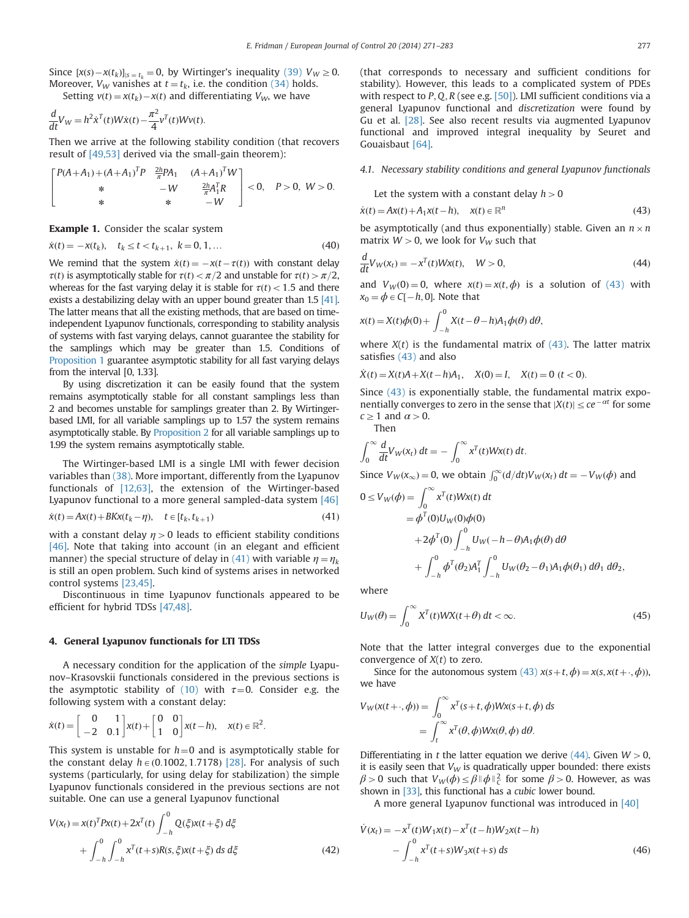<span id="page-6-0"></span>Since  $[x(s) - x(t_k)]_{s = t_k} = 0$ , by Wirtinger's inequality [\(39\)](#page-5-0)  $V_W \ge 0$ .<br>Moreover  $V_W$  vanishes at  $t = t$ , i.e. the condition (34) holds Moreover,  $V_W$  vanishes at  $t = t_k$ , i.e. the condition [\(34\)](#page-5-0) holds.

Setting 
$$
v(t) = x(t_k) - x(t)
$$
 and differentiating  $V_W$ , we have  
\n
$$
\frac{d}{dt}V_W = h^2 \dot{x}^T(t)W\dot{x}(t) - \frac{\pi^2}{4}v^T(t)Wv(t).
$$

Then we arrive at the following stability condition (that recovers result of [\[49,53\]](#page-12-0) derived via the small-gain theorem):

$$
\begin{bmatrix} P(A+A_1) + (A+A_1)^T P & \frac{2h}{\pi} P A_1 & (A+A_1)^T W \\ * & -W & \frac{2h}{\pi} A_1^T R \\ * & * & -W \end{bmatrix} < 0, \quad P > 0, \ W > 0.
$$

Example 1. Consider the scalar system

$$
\dot{x}(t) = -x(t_k), \quad t_k \le t < t_{k+1}, \ k = 0, 1, \dots \tag{40}
$$

We remind that the system  $\dot{x}(t) = -x(t-\tau(t))$  with constant delay  $\tau(t)$  is asymptotically stable for  $\tau(t) < \tau/2$  and unstable for  $\tau(t) \le \tau/2$  $\tau(t)$  is asymptotically stable for  $\tau(t) < \pi/2$  and unstable for  $\tau(t) > \pi/2$ , whereas for the fast varying delay it is stable for  $\tau(t) < 1.5$  and there exists a destabilizing delay with an upper bound greater than 1.5 [\[41\].](#page-12-0) The latter means that all the existing methods, that are based on timeindependent Lyapunov functionals, corresponding to stability analysis of systems with fast varying delays, cannot guarantee the stability for the samplings which may be greater than 1.5. Conditions of [Proposition 1](#page-4-0) guarantee asymptotic stability for all fast varying delays from the interval [0, 1.33].

By using discretization it can be easily found that the system remains asymptotically stable for all constant samplings less than 2 and becomes unstable for samplings greater than 2. By Wirtingerbased LMI, for all variable samplings up to 1.57 the system remains asymptotically stable. By [Proposition 2](#page-5-0) for all variable samplings up to 1.99 the system remains asymptotically stable.

The Wirtinger-based LMI is a single LMI with fewer decision variables than [\(38\)](#page-5-0). More important, differently from the Lyapunov functionals of [\[12,63\]](#page-12-0), the extension of the Wirtinger-based Lyapunov functional to a more general sampled-data system [\[46\]](#page-12-0)

$$
\dot{x}(t) = Ax(t) + BKx(t_k - \eta), \quad t \in [t_k, t_{k+1})
$$
\n
$$
(41)
$$

with a constant delay  $\eta > 0$  leads to efficient stability conditions [\[46\].](#page-12-0) Note that taking into account (in an elegant and efficient manner) the special structure of delay in (41) with variable  $\eta = \eta_k$ is still an open problem. Such kind of systems arises in networked control systems [\[23,45\].](#page-12-0)

Discontinuous in time Lyapunov functionals appeared to be efficient for hybrid TDSs [\[47,48\].](#page-12-0)

#### 4. General Lyapunov functionals for LTI TDSs

A necessary condition for the application of the simple Lyapunov–Krasovskii functionals considered in the previous sections is the asymptotic stability of [\(10\)](#page-2-0) with  $\tau=0$ . Consider e.g. the following system with a constant delay:

$$
\dot{x}(t) = \begin{bmatrix} 0 & 1 \\ -2 & 0.1 \end{bmatrix} x(t) + \begin{bmatrix} 0 & 0 \\ 1 & 0 \end{bmatrix} x(t-h), \quad x(t) \in \mathbb{R}^2.
$$

This system is unstable for  $h=0$  and is asymptotically stable for the constant delay  $h \in (0.1002, 1.7178)$  [\[28\].](#page-11-0) For analysis of such systems (particularly, for using delay for stabilization) the simple Lyapunov functionals considered in the previous sections are not suitable. One can use a general Lyapunov functional

$$
V(x_t) = x(t)^T P x(t) + 2x^T(t) \int_{-h}^0 Q(\xi) x(t + \xi) d\xi
$$
  
+ 
$$
\int_{-h}^0 \int_{-h}^0 x^T(t + s) R(s, \xi) x(t + \xi) ds d\xi
$$
 (42)

(that corresponds to necessary and sufficient conditions for stability). However, this leads to a complicated system of PDEs with respect to  $P$ ,  $Q$ ,  $R$  (see e.g. [\[50\]\)](#page-12-0). LMI sufficient conditions via a general Lyapunov functional and discretization were found by Gu et al. [\[28\]](#page-11-0). See also recent results via augmented Lyapunov functional and improved integral inequality by Seuret and Gouaisbaut [\[64\]](#page-12-0).

## 4.1. Necessary stability conditions and general Lyapunov functionals

Let the system with a constant delay  $h > 0$ 

$$
\dot{x}(t) = Ax(t) + A_1x(t - h), \quad x(t) \in \mathbb{R}^n
$$
\n(43)

be asymptotically (and thus exponentially) stable. Given an  $n \times n$ matrix  $W > 0$ , we look for  $V_W$  such that

$$
\frac{d}{dt}V_W(x_t) = -x^T(t)Wx(t), \quad W > 0,
$$
\n(44)

and  $V_W(0) = 0$ , where  $x(t) = x(t, \phi)$  is a solution of (43) with  $x_0 = \phi \in C[-h, 0]$ . Note that

$$
x(t) = X(t)\phi(0) + \int_{-h}^{0} X(t - \theta - h)A_1\phi(\theta) d\theta,
$$

where  $X(t)$  is the fundamental matrix of (43). The latter matrix satisfies (43) and also

 $\dot{X}(t) = X(t)A + X(t-h)A_1, \quad X(0) = I, \quad X(t) = 0 \ (t < 0).$ 

Since (43) is exponentially stable, the fundamental matrix exponentially converges to zero in the sense that  $|X(t)| \leq ce^{-\alpha t}$  for some  $c > 1$  and  $\alpha > 0$  $c \geq 1$  and  $\alpha > 0$ .

Then

$$
\int_0^\infty \frac{d}{dt} V_W(x_t) dt = - \int_0^\infty x^T(t) W x(t) dt.
$$

Since  $V_W(x_\infty) = 0$ , we obtain  $\int_0^\infty (d/dt) V_W(x_t) dt = -V_W(\phi)$  and

$$
0 \le V_W(\phi) = \int_0^\infty x^T(t)Wx(t) dt
$$
  
=  $\phi^T(0)U_W(0)\phi(0)$   
+  $2\phi^T(0)\int_{-h}^0 U_W(-h-\theta)A_1\phi(\theta) d\theta$   
+  $\int_{-h}^0 \phi^T(\theta_2)A_1^T \int_{-h}^0 U_W(\theta_2 - \theta_1)A_1\phi(\theta_1) d\theta_1 d\theta_2$ ,

where

$$
U_W(\theta) = \int_0^\infty X^T(t)WX(t+\theta) \, dt < \infty. \tag{45}
$$

Note that the latter integral converges due to the exponential convergence of  $X(t)$  to zero.

Since for the autonomous system (43)  $x(s+t, \phi) = x(s, x(t + \cdot, \phi))$ , we have

$$
V_W(x(t+.,\phi)) = \int_0^\infty x^T(s+t,\phi)Wx(s+t,\phi) ds
$$
  
= 
$$
\int_t^\infty x^T(\theta,\phi)Wx(\theta,\phi) d\theta.
$$

Differentiating in t the latter equation we derive  $(44)$ . Given  $W > 0$ , it is easily seen that  $V_W$  is quadratically upper bounded: there exists  $\beta$  > 0 such that  $V_W(\phi) \leq \beta \|\phi\|_C^2$  for some  $\beta$  > 0. However, as was shown in [\[33\]](#page-12-0), this functional has a cubic lower bound.

A more general Lyapunov functional was introduced in [\[40\]](#page-12-0)

$$
\dot{V}(x_t) = -x^T(t)W_1x(t) - x^T(t-h)W_2x(t-h) - \int_{-h}^0 x^T(t+s)W_3x(t+s) ds
$$
\n(46)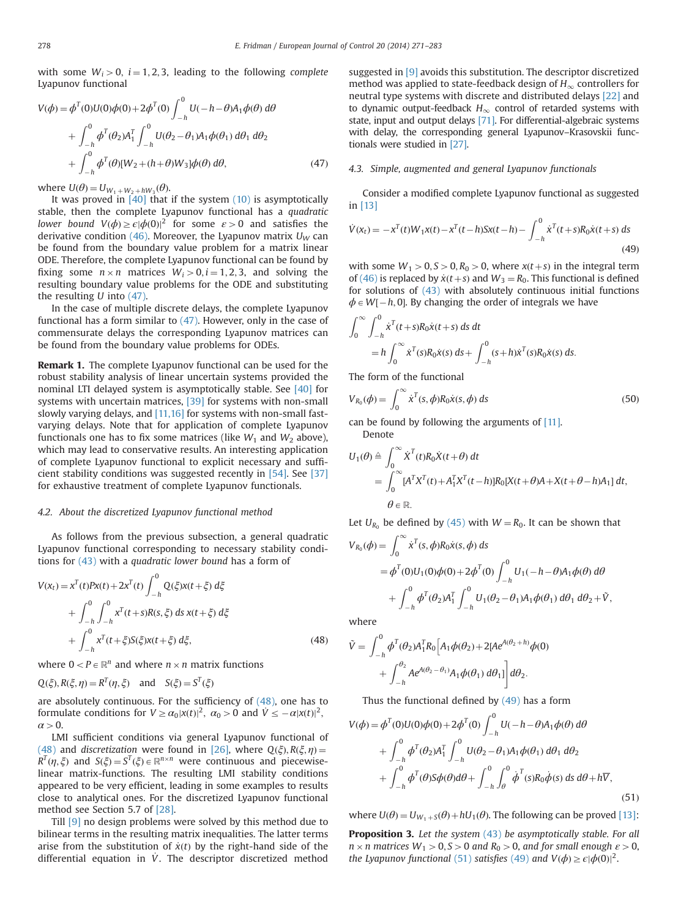<span id="page-7-0"></span>with some  $W_i > 0$ ,  $i = 1, 2, 3$ , leading to the following complete Lyapunov functional

$$
V(\phi) = \phi^{T}(0)U(0)\phi(0) + 2\phi^{T}(0)\int_{-h}^{0} U(-h - \theta)A_{1}\phi(\theta) d\theta
$$
  
+ 
$$
\int_{-h}^{0} \phi^{T}(\theta_{2})A_{1}^{T}\int_{-h}^{0} U(\theta_{2} - \theta_{1})A_{1}\phi(\theta_{1}) d\theta_{1} d\theta_{2}
$$
  
+ 
$$
\int_{-h}^{0} \phi^{T}(\theta)[W_{2} + (h + \theta)W_{3}]\phi(\theta) d\theta,
$$
 (47)

where  $U(\theta) = U_{W_1 + W_2 + hW_3}(\theta)$ .<br>It was proved in [40] that

It was proved in  $\overline{40}$  that if the system  $(10)$  is asymptotically stable, then the complete Lyapunov functional has a quadratic lower bound  $V(\phi) \geq \epsilon |\phi(0)|^2$  for some  $\epsilon > 0$  and satisfies the derivative condition [\(46\).](#page-6-0) Moreover, the Lyapunov matrix  $U_W$  can be found from the boundary value problem for a matrix linear ODE. Therefore, the complete Lyapunov functional can be found by fixing some  $n \times n$  matrices  $W_i > 0, i = 1, 2, 3$ , and solving the resulting boundary value problems for the ODE and substituting the resulting  $U$  into  $(47)$ .

In the case of multiple discrete delays, the complete Lyapunov functional has a form similar to (47). However, only in the case of commensurate delays the corresponding Lyapunov matrices can be found from the boundary value problems for ODEs.

Remark 1. The complete Lyapunov functional can be used for the robust stability analysis of linear uncertain systems provided the nominal LTI delayed system is asymptotically stable. See [\[40\]](#page-12-0) for systems with uncertain matrices, [\[39\]](#page-12-0) for systems with non-small slowly varying delays, and [\[11,16\]](#page-11-0) for systems with non-small fastvarying delays. Note that for application of complete Lyapunov functionals one has to fix some matrices (like  $W_1$  and  $W_2$  above), which may lead to conservative results. An interesting application of complete Lyapunov functional to explicit necessary and sufficient stability conditions was suggested recently in [\[54\].](#page-12-0) See [\[37\]](#page-12-0) for exhaustive treatment of complete Lyapunov functionals.

## 4.2. About the discretized Lyapunov functional method

As follows from the previous subsection, a general quadratic Lyapunov functional corresponding to necessary stability conditions for [\(43\)](#page-6-0) with a quadratic lower bound has a form of

$$
V(x_t) = x^T(t)Px(t) + 2x^T(t) \int_{-h}^0 Q(\xi)x(t + \xi) d\xi
$$
  
+ 
$$
\int_{-h}^0 \int_{-h}^0 x^T(t + s)R(s, \xi) ds x(t + \xi) d\xi
$$
  
+ 
$$
\int_{-h}^0 x^T(t + \xi)S(\xi)x(t + \xi) d\xi,
$$
 (48)

where  $0 < P \in \mathbb{R}^n$  and where  $n \times n$  matrix functions

$$
Q(\xi), R(\xi, \eta) = R^T(\eta, \xi)
$$
 and  $S(\xi) = S^T(\xi)$ 

are absolutely continuous. For the sufficiency of (48), one has to formulate conditions for  $V \ge \alpha_0 |x(t)|^2$ ,  $\alpha_0 > 0$  and  $\dot{V} \le -\alpha |x(t)|^2$ ,  $\alpha > 0$  $\alpha > 0$ .

LMI sufficient conditions via general Lyapunov functional of (48) and discretization were found in [\[26\],](#page-11-0) where  $Q(\xi), R(\xi, \eta) =$  $R^{T}(\eta,\xi)$  and  $S(\xi) = S^{T}(\xi) \in \mathbb{R}^{n \times n}$  were continuous and piecewiselinear matrix-functions. The resulting LMI stability conditions appeared to be very efficient, leading in some examples to results close to analytical ones. For the discretized Lyapunov functional method see Section 5.7 of [\[28\]](#page-11-0).

Till [\[9\]](#page-11-0) no design problems were solved by this method due to bilinear terms in the resulting matrix inequalities. The latter terms arise from the substitution of  $\dot{x}(t)$  by the right-hand side of the differential equation in  $\dot{V}$ . The descriptor discretized method

suggested in [\[9\]](#page-11-0) avoids this substitution. The descriptor discretized method was applied to state-feedback design of  $H_{\infty}$  controllers for neutral type systems with discrete and distributed delays [\[22\]](#page-11-0) and to dynamic output-feedback  $H_{\infty}$  control of retarded systems with state, input and output delays [\[71\].](#page-12-0) For differential-algebraic systems with delay, the corresponding general Lyapunov–Krasovskii functionals were studied in [\[27\].](#page-11-0)

# 4.3. Simple, augmented and general Lyapunov functionals

Consider a modified complete Lyapunov functional as suggested in [\[13\]](#page-11-0)

$$
\dot{V}(x_t) = -x^T(t)W_1x(t) - x^T(t-h)Sx(t-h) - \int_{-h}^0 \dot{x}^T(t+s)R_0\dot{x}(t+s) ds
$$
\n(49)

with some  $W_1 > 0, S > 0, R_0 > 0$ , where  $x(t+s)$  in the integral term<br>of (46) is replaced by  $\dot{x}(t+s)$  and  $W_0 = R_0$ . This functional is defined of [\(46\)](#page-6-0) is replaced by  $\dot{x}(t+s)$  and  $W_3 = R_0$ . This functional is defined for solutions of [\(43\)](#page-6-0) with absolutely continuous initial functions  $\phi \in W[-h, 0]$ . By changing the order of integrals we have

$$
\int_0^{\infty} \int_{-h}^0 \dot{x}^T(t+s) R_0 \dot{x}(t+s) \, ds \, dt
$$
  
=  $h \int_0^{\infty} \dot{x}^T(s) R_0 \dot{x}(s) \, ds + \int_{-h}^0 (s+h) \dot{x}^T(s) R_0 \dot{x}(s) \, ds.$ 

The form of the functional

$$
V_{R_0}(\phi) = \int_0^\infty \dot{x}^T(s, \phi) R_0 \dot{x}(s, \phi) \, ds \tag{50}
$$

can be found by following the arguments of [\[11\]](#page-11-0). Denote

$$
U_1(\theta) \triangleq \int_0^\infty \dot{X}^T(t) R_0 \dot{X}(t+\theta) dt
$$
  
= 
$$
\int_0^\infty [A^T X^T(t) + A_1^T X^T(t-h)] R_0 [X(t+\theta)A + X(t+\theta-h)A_1] dt,
$$
  

$$
\theta \in \mathbb{R}.
$$

Let  $U_{R_0}$  be defined by [\(45\)](#page-6-0) with  $W = R_0$ . It can be shown that

$$
V_{R_0}(\phi) = \int_0^\infty \dot{x}^T(s, \phi) R_0 \dot{x}(s, \phi) ds
$$
  
=  $\phi^T(0) U_1(0) \phi(0) + 2 \phi^T(0) \int_{-h}^0 U_1(-h - \theta) A_1 \phi(\theta) d\theta$   
+  $\int_{-h}^0 \phi^T(\theta_2) A_1^T \int_{-h}^0 U_1(\theta_2 - \theta_1) A_1 \phi(\theta_1) d\theta_1 d\theta_2 + \tilde{V},$ 

where

$$
\tilde{V} = \int_{-h}^{0} \phi^{T}(\theta_{2}) A_{1}^{T} R_{0} \left[ A_{1} \phi(\theta_{2}) + 2[Ae^{A(\theta_{2} + h)} \phi(0) + \int_{-h}^{\theta_{2}} A e^{A(\theta_{2} - \theta_{1})} A_{1} \phi(\theta_{1}) d\theta_{1}] \right] d\theta_{2}.
$$

Thus the functional defined by  $(49)$  has a form

$$
V(\phi) = \phi^T(0)U(0)\phi(0) + 2\phi^T(0)\int_{-h}^0 U(-h-\theta)A_1\phi(\theta) d\theta
$$
  
+ 
$$
\int_{-h}^0 \phi^T(\theta_2)A_1^T \int_{-h}^0 U(\theta_2 - \theta_1)A_1\phi(\theta_1) d\theta_1 d\theta_2
$$
  
+ 
$$
\int_{-h}^0 \phi^T(\theta)S\phi(\theta)d\theta + \int_{-h}^0 \int_{\theta}^0 \phi^T(s)R_0\dot{\phi}(s) ds d\theta + h\overline{V},
$$
(51)

where  $U(\theta) = U_{W_1 + S}(\theta) + hU_1(\theta)$ . The following can be proved [\[13\]:](#page-11-0)

Proposition 3. Let the system [\(43\)](#page-6-0) be asymptotically stable. For all  $n \times n$  matrices  $W_1 > 0, S > 0$  and  $R_0 > 0$ , and for small enough  $\varepsilon > 0$ , the Lyapunov functional (51) satisfies (49) and  $V(\phi) \geq \epsilon |\phi(0)|^2$ .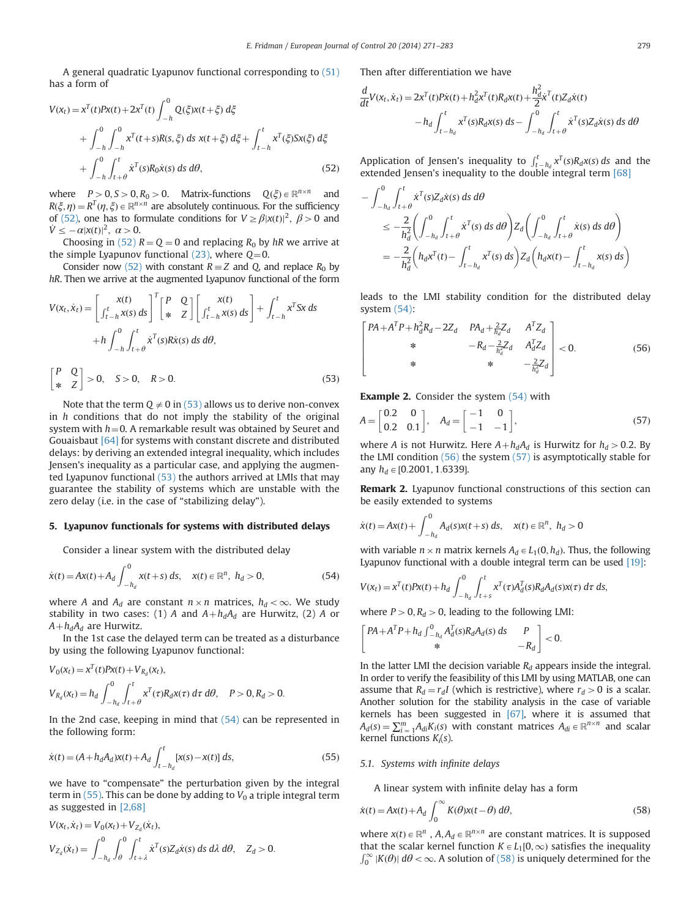<span id="page-8-0"></span>A general quadratic Lyapunov functional corresponding to [\(51\)](#page-7-0) has a form of

$$
V(x_t) = x^T(t)Px(t) + 2x^T(t) \int_{-h}^0 Q(\xi)x(t + \xi) d\xi
$$
  
+ 
$$
\int_{-h}^0 \int_{-h}^0 x^T(t + s)R(s, \xi) ds x(t + \xi) d\xi + \int_{t-h}^t x^T(\xi)Sx(\xi) d\xi
$$
  
+ 
$$
\int_{-h}^0 \int_{t+\theta}^t \dot{x}^T(s)R_0\dot{x}(s) ds d\theta,
$$
 (52)

where  $P>0$ ,  $S>0$ ,  $R_0>0$ . Matrix-functions  $Q(\xi) \in \mathbb{R}^{n \times n}$  and  $R(\xi, \eta) = R^T(\eta, \xi) \in \mathbb{R}^{n \times n}$  are absolutely continuous. For the sufficiency of (52), one has to formulate conditions for  $V \ge \beta |x(t)|^2$ ,  $\beta > 0$  and  $\dot{V} \le -\alpha |x(t)|^2$ ,  $\alpha > 0$ .<br>Choosing in (52)

Choosing in (52)  $R = Q = 0$  and replacing  $R_0$  by hR we arrive at the simple Lyapunov functional  $(23)$ , where  $Q=0$ .

Consider now (52) with constant  $R \equiv Z$  and O, and replace  $R_0$  by hR. Then we arrive at the augmented Lyapunov functional of the form

$$
V(x_t, \dot{x}_t) = \begin{bmatrix} x(t) \\ \int_{t-h}^t x(s) ds \end{bmatrix}^T \begin{bmatrix} P & Q \\ * & Z \end{bmatrix} \begin{bmatrix} x(t) \\ \int_{t-h}^t x(s) ds \end{bmatrix} + \int_{t-h}^t x^T Sx ds
$$
  
+ 
$$
h \int_{-h}^0 \int_{t+\theta}^t \dot{x}^T(s) R\dot{x}(s) ds d\theta,
$$
  

$$
\begin{bmatrix} P & Q \\ * & Z \end{bmatrix} > 0, \quad S > 0, \quad R > 0.
$$
 (53)

Note that the term  $Q \neq 0$  in (53) allows us to derive non-convex in  $h$  conditions that do not imply the stability of the original system with  $h=0$ . A remarkable result was obtained by Seuret and Gouaisbaut [\[64\]](#page-12-0) for systems with constant discrete and distributed delays: by deriving an extended integral inequality, which includes Jensen's inequality as a particular case, and applying the augmented Lyapunov functional (53) the authors arrived at LMIs that may guarantee the stability of systems which are unstable with the zero delay (i.e. in the case of "stabilizing delay").

## 5. Lyapunov functionals for systems with distributed delays

Consider a linear system with the distributed delay

$$
\dot{x}(t) = Ax(t) + A_d \int_{-h_d}^{0} x(t+s) \, ds, \quad x(t) \in \mathbb{R}^n, \ h_d > 0,
$$
\n(54)

where A and  $A_d$  are constant  $n \times n$  matrices,  $h_d < \infty$ . We study stability in two cases: (1) A and  $A+h_dA_d$  are Hurwitz, (2) A or  $A + h_d A_d$  are Hurwitz.

In the 1st case the delayed term can be treated as a disturbance by using the following Lyapunov functional:

$$
V_0(x_t) = x^T(t)Px(t) + V_{R_d}(x_t),
$$
  
\n
$$
V_{R_d}(x_t) = h_d \int_{-h_d}^0 \int_{t+\theta}^t x^T(\tau)R_d x(\tau) d\tau d\theta, \quad P > 0, R_d > 0.
$$

In the 2nd case, keeping in mind that (54) can be represented in the following form:

$$
\dot{x}(t) = (A + h_d A_d)x(t) + A_d \int_{t - h_d}^t [x(s) - x(t)] \, ds,\tag{55}
$$

we have to "compensate" the perturbation given by the integral term in  $(55)$ . This can be done by adding to  $V_0$  a triple integral term as suggested in [\[2,68\]](#page-12-0)

$$
V(x_t, \dot{x}_t) = V_0(x_t) + V_{Z_d}(\dot{x}_t),
$$
  
\n
$$
V_{Z_d}(\dot{x}_t) = \int_{-h_d}^0 \int_{\theta}^0 \int_{t+\lambda}^t \dot{x}^T(s) Z_d \dot{x}(s) \, ds \, d\lambda \, d\theta, \quad Z_d > 0.
$$

Then after differentiation we have

$$
\frac{d}{dt}V(x_t, \dot{x}_t) = 2x^T(t)P\dot{x}(t) + h_d^2 x^T(t)R_d x(t) + \frac{h_d^2}{2}\dot{x}^T(t)Z_d\dot{x}(t) \n- h_d \int_{t-h_d}^t x^T(s)R_d x(s) ds - \int_{-h_d}^0 \int_{t+\theta}^t \dot{x}^T(s)Z_d\dot{x}(s) ds d\theta
$$

Application of Jensen's inequality to  $\int_{t-h_d}^{t} x^T(s) R_d x(s) ds$  and the extended Jensen's inequality to the double integral term [68] extended Jensen's inequality to the double integral term [\[68\]](#page-12-0)

$$
\begin{split} &-\int_{-h_{d}}^{0} \int_{t+\theta}^{t} \dot{x}^{T}(s) Z_{d} \dot{x}(s) \, ds \, d\theta \\ &\leq -\frac{2}{h_{d}^{2}} \bigg( \int_{-h_{d}}^{0} \int_{t+\theta}^{t} \dot{x}^{T}(s) \, ds \, d\theta \bigg) Z_{d} \bigg( \int_{-h_{d}}^{0} \int_{t+\theta}^{t} \dot{x}(s) \, ds \, d\theta \bigg) \\ &= -\frac{2}{h_{d}^{2}} \bigg( h_{d} x^{T}(t) - \int_{t-h_{d}}^{t} x^{T}(s) \, ds \bigg) Z_{d} \bigg( h_{d} x(t) - \int_{t-h_{d}}^{t} x(s) \, ds \bigg) \end{split}
$$

leads to the LMI stability condition for the distributed delay system (54):

$$
\begin{bmatrix} PA + A^{T}P + h_{d}^{2}R_{d} - 2Z_{d} & PA_{d} + \frac{2}{h_{d}}Z_{d} & A^{T}Z_{d} \\ * & -R_{d} - \frac{2}{h_{d}^{2}}Z_{d} & A_{d}^{T}Z_{d} \\ * & * & -\frac{2}{h_{d}^{2}}Z_{d} \end{bmatrix} < 0.
$$
 (56)

**Example 2.** Consider the system (54) with

$$
A = \begin{bmatrix} 0.2 & 0 \\ 0.2 & 0.1 \end{bmatrix}, A_d = \begin{bmatrix} -1 & 0 \\ -1 & -1 \end{bmatrix},
$$
 (57)

where A is not Hurwitz. Here  $A + h_dA_d$  is Hurwitz for  $h_d > 0.2$ . By the LMI condition (56) the system (57) is asymptotically stable for any  $h_d \in [0.2001, 1.6339]$ .

Remark 2. Lyapunov functional constructions of this section can be easily extended to systems

$$
\dot{x}(t) = Ax(t) + \int_{-h_d}^{0} A_d(s)x(t+s) \, ds, \quad x(t) \in \mathbb{R}^n, \ h_d > 0
$$

with variable  $n \times n$  matrix kernels  $A_d \in L_1(0, h_d)$ . Thus, the following Lyapunov functional with a double integral term can be used [\[19\]](#page-11-0):

$$
V(x_t) = x^T(t)Px(t) + h_d \int_{-h_d}^0 \int_{t+s}^t x^T(\tau)A_d^T(s)R_dA_d(s)x(\tau) d\tau ds,
$$

where  $P>0, R<sub>d</sub>0$ , leading to the following LMI:

$$
\begin{bmatrix} PA + A^T P + h_d \int_{-h_d}^{0} A_d^T(s) R_d A_d(s) \, ds & P \\ * & -R_d \end{bmatrix} < 0.
$$

In the latter LMI the decision variable  $R_d$  appears inside the integral. In order to verify the feasibility of this LMI by using MATLAB, one can assume that  $R_d = r_dI$  (which is restrictive), where  $r_d > 0$  is a scalar. Another solution for the stability analysis in the case of variable kernels has been suggested in [\[67\]](#page-12-0), where it is assumed that  $A_d(s) = \sum_{i=1}^{m} A_{di} K_i(s)$  with constant matrices  $A_{di} \in \mathbb{R}^{n \times n}$  and scalar kernel functions  $K(s)$ kernel functions  $K_i(s)$ .

## 5.1. Systems with infinite delays

A linear system with infinite delay has a form

$$
\dot{x}(t) = Ax(t) + A_d \int_0^\infty K(\theta)x(t - \theta) d\theta,
$$
\n(58)

where  $x(t) \in \mathbb{R}^n$ ,  $A, A_d \in \mathbb{R}^{n \times n}$  are constant matrices. It is supposed that the scalar kernel function  $K \in L_1[0,\infty)$  satisfies the inequality  $\int_0^\infty |K(\theta)| d\theta < \infty$ . A solution of (58) is uniquely determined for the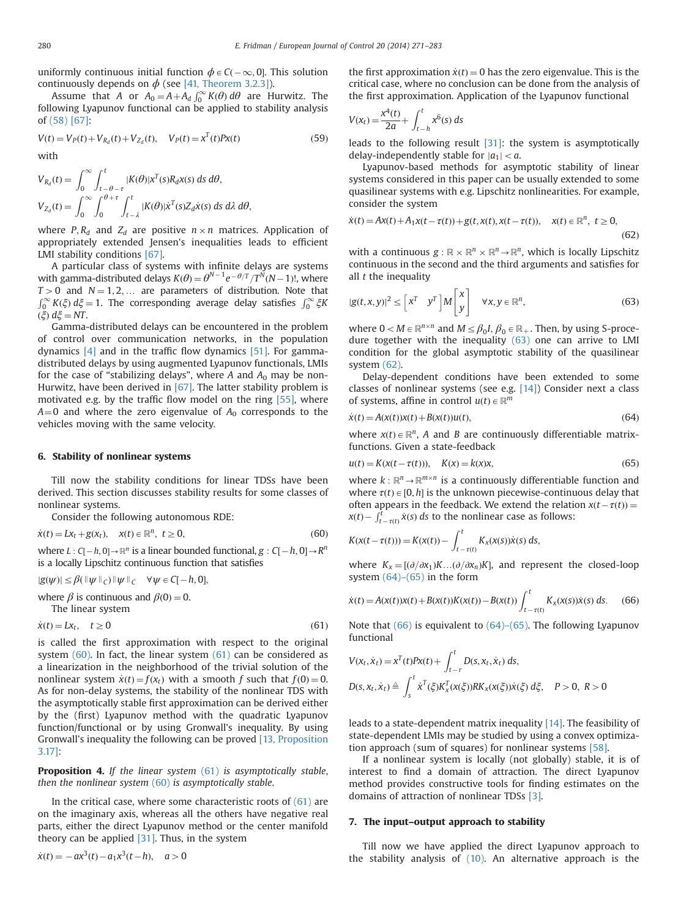<span id="page-9-0"></span>uniformly continuous initial function  $\phi \in C(-\infty, 0]$ . This solution continuously depends on  $\phi$  (see [41, Theorem 3.2.31) continuously depends on  $\phi$  (see [\[41, Theorem 3.2.3\]\)](#page-12-0).

Assume that A or  $A_0 = A + A_d \int_0^\infty K(\theta) d\theta$  are Hurwitz. The owing Lyanunov functional can be applied to stability analysis following Lyapunov functional can be applied to stability analysis of [\(58\)](#page-8-0) [\[67\]](#page-12-0):

$$
V(t) = V_P(t) + V_{R_d}(t) + V_{Z_d}(t), \quad V_P(t) = x^T(t)Px(t)
$$
\nwith

\n
$$
V_P(t) = \frac{1}{2}x^T(t)Px(t)
$$
\n(59)

$$
V_{R_d}(t) = \int_0^\infty \int_{t-\theta-\tau}^t |K(\theta)|x^T(s)R_dx(s) \, ds \, d\theta,
$$
  

$$
V_{Z_d}(t) = \int_0^\infty \int_0^{\theta+\tau} \int_{t-\lambda}^t |K(\theta)|x^T(s)Z_dx(s) \, ds \, d\lambda \, d\theta,
$$

where  $P, R_d$  and  $Z_d$  are positive  $n \times n$  matrices. Application of appropriately extended Jensen's inequalities leads to efficient LMI stability conditions [\[67\]](#page-12-0).

A particular class of systems with infinite delays are systems with gamma-distributed delays  $K(\theta) = \theta^{N-1} e^{-\theta/T} T^N (N-1)!$ , where  $T > 0$ , and  $N-1$ , 2. The parameters of distribution. Note that  $T > 0$  and  $N = 1, 2, ...$  are parameters of distribution. Note that  $\int_0^\infty K(\xi) d\xi = 1$ . The corresponding average delay satisfies  $\int_0^\infty \xi K$  $(ξ) dξ = NT.$ 

Gamma-distributed delays can be encountered in the problem of control over communication networks, in the population dynamics [\[4\]](#page-11-0) and in the traffic flow dynamics [\[51\]](#page-12-0). For gammadistributed delays by using augmented Lyapunov functionals, LMIs for the case of "stabilizing delays", where A and  $A_0$  may be non-Hurwitz, have been derived in [\[67\]](#page-12-0). The latter stability problem is motivated e.g. by the traffic flow model on the ring [\[55\]](#page-12-0), where  $A=0$  and where the zero eigenvalue of  $A_0$  corresponds to the vehicles moving with the same velocity.

# 6. Stability of nonlinear systems

Till now the stability conditions for linear TDSs have been derived. This section discusses stability results for some classes of nonlinear systems.

Consider the following autonomous RDE:

$$
\dot{x}(t) = Lx_t + g(x_t), \quad x(t) \in \mathbb{R}^n, \ t \ge 0,
$$
\n
$$
(60)
$$

where  $L: C[-h, 0] \to \mathbb{R}^n$  is a linear bounded functional,  $g: C[-h, 0] \to \mathbb{R}^n$ <br>is a locally Linschitz continuous function that satisfies is a locally Lipschitz continuous function that satisfies

$$
|g(\psi)| \leq \beta(||\psi||_C) ||\psi||_C \quad \forall \psi \in C[-h, 0],
$$

where  $\beta$  is continuous and  $\beta(0) = 0$ .

The linear system

$$
\dot{x}(t) = Lx_t, \quad t \ge 0 \tag{61}
$$

is called the first approximation with respect to the original system (60). In fact, the linear system (61) can be considered as a linearization in the neighborhood of the trivial solution of the nonlinear system  $\dot{x}(t) = f(x_t)$  with a smooth f such that  $f(0) = 0$ . As for non-delay systems, the stability of the nonlinear TDS with the asymptotically stable first approximation can be derived either by the (first) Lyapunov method with the quadratic Lyapunov function/functional or by using Gronwall's inequality. By using Gronwall's inequality the following can be proved [\[13, Proposition](#page-11-0) [3.17\]](#page-11-0):

**Proposition 4.** If the linear system  $(61)$  is asymptotically stable, then the nonlinear system  $(60)$  is asymptotically stable.

In the critical case, where some characteristic roots of  $(61)$  are on the imaginary axis, whereas all the others have negative real parts, either the direct Lyapunov method or the center manifold theory can be applied  $[31]$ . Thus, in the system

$$
\dot{x}(t) = -ax^3(t) - a_1x^3(t-h), \quad a > 0
$$

the first approximation  $\dot{x}(t) = 0$  has the zero eigenvalue. This is the critical case, where no conclusion can be done from the analysis of the first approximation. Application of the Lyapunov functional

$$
V(x_t) = \frac{x^4(t)}{2a} + \int_{t-h}^t x^6(s) \, ds
$$

leads to the following result [\[31\]:](#page-12-0) the system is asymptotically delay-independently stable for  $|a_1| < a$ .

Lyapunov-based methods for asymptotic stability of linear systems considered in this paper can be usually extended to some quasilinear systems with e.g. Lipschitz nonlinearities. For example, consider the system

$$
\dot{x}(t) = Ax(t) + A_1x(t - \tau(t)) + g(t, x(t), x(t - \tau(t)), \quad x(t) \in \mathbb{R}^n, \ t \ge 0,
$$
\n(62)

with a continuous  $g : \mathbb{R} \times \mathbb{R}^n \times \mathbb{R}^n \to \mathbb{R}^n$ , which is locally Lipschitz continuous in the second and the third arguments and satisfies for continuous in the second and the third arguments and satisfies for all  $t$  the inequality

$$
|g(t, x, y)|^2 \le \left[x^T \quad y^T\right]M\begin{bmatrix} x \\ y \end{bmatrix} \quad \forall x, y \in \mathbb{R}^n,
$$
 (63)

where  $0 < M \in \mathbb{R}^{n \times n}$  and  $M \leq \beta_0 I$ ,  $\beta_0 \in \mathbb{R}_+$ . Then, by using S-procedure together with the inequality (63) one can arrive to LMI condition for the global asymptotic stability of the quasilinear system (62).

Delay-dependent conditions have been extended to some classes of nonlinear systems (see e.g. [\[14\]](#page-11-0)) Consider next a class of systems, affine in control  $u(t) \in \mathbb{R}^m$ 

$$
\dot{x}(t) = A(x(t))x(t) + B(x(t))u(t),
$$
\n(64)

where  $x(t) \in \mathbb{R}^n$ , A and B are continuously differentiable matrix-<br>functions Civen a state-feedback functions. Given a state-feedback

$$
u(t) = K(x(t - \tau(t))), \quad K(x) = k(x)x,
$$
\n(65)

where  $k : \mathbb{R}^n \to \mathbb{R}^{m \times n}$  is a continuously differentiable function and where  $\tau(t) \in [0, h]$  is the unknown piecewise-continuous delay that often appears in the feedback. We extend the relation  $x(t-\tau(t)) = y(t)$  of  $\tau^t$  is  $\dot{y}(s)$  ds to the poplingar case as follows:  $x(t) - \int_{t-\tau(t)}^{t} \dot{x}(s) ds$  to the nonlinear case as follows:

$$
K(x(t - \tau(t))) = K(x(t)) - \int_{t - \tau(t)}^{t} K_x(x(s))\dot{x}(s) ds,
$$

where  $K_x = [(\partial/\partial x_1)K...(\partial/\partial x_n)K]$ , and represent the closed-loop system  $(64)$ – $(65)$  in the form

$$
\dot{x}(t) = A(x(t))x(t) + B(x(t))K(x(t)) - B(x(t))\int_{t-\tau(t)}^{t} K_x(x(s))\dot{x}(s) ds.
$$
 (66)

Note that  $(66)$  is equivalent to  $(64)$ – $(65)$ . The following Lyapunov functional

$$
V(x_t, \dot{x}_t) = x^T(t)Px(t) + \int_{t-r}^t D(s, x_t, \dot{x}_t) ds,
$$
  

$$
D(s, x_t, \dot{x}_t) \triangleq \int_s^t \dot{x}^T(\xi)K_x^T(x(\xi))RK_x(x(\xi))\dot{x}(\xi) d\xi, \quad P > 0, R > 0
$$

leads to a state-dependent matrix inequality [\[14\]](#page-11-0). The feasibility of state-dependent LMIs may be studied by using a convex optimization approach (sum of squares) for nonlinear systems [\[58\]](#page-12-0).

If a nonlinear system is locally (not globally) stable, it is of interest to find a domain of attraction. The direct Lyapunov method provides constructive tools for finding estimates on the domains of attraction of nonlinear TDSs [\[3\].](#page-11-0)

#### 7. The input–output approach to stability

Till now we have applied the direct Lyapunov approach to the stability analysis of [\(10\).](#page-2-0) An alternative approach is the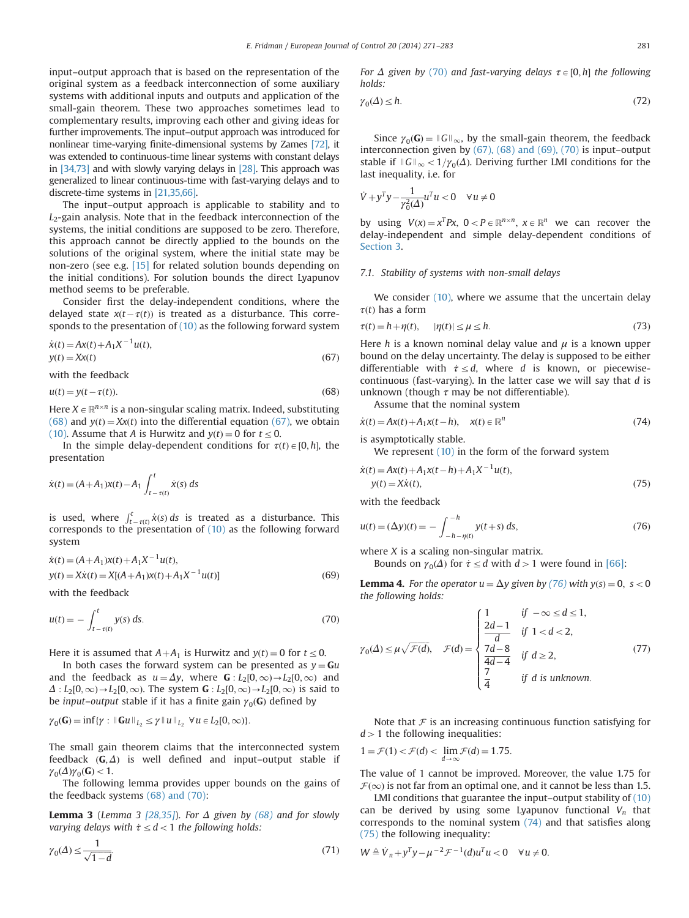input–output approach that is based on the representation of the original system as a feedback interconnection of some auxiliary systems with additional inputs and outputs and application of the small-gain theorem. These two approaches sometimes lead to complementary results, improving each other and giving ideas for further improvements. The input–output approach was introduced for nonlinear time-varying finite-dimensional systems by Zames [\[72\]](#page-12-0), it was extended to continuous-time linear systems with constant delays in [\[34,73\]](#page-12-0) and with slowly varying delays in [\[28\]](#page-11-0). This approach was generalized to linear continuous-time with fast-varying delays and to discrete-time systems in [\[21,35,66\]](#page-12-0).

The input–output approach is applicable to stability and to  $L_2$ -gain analysis. Note that in the feedback interconnection of the systems, the initial conditions are supposed to be zero. Therefore, this approach cannot be directly applied to the bounds on the solutions of the original system, where the initial state may be non-zero (see e.g. [\[15\]](#page-11-0) for related solution bounds depending on the initial conditions). For solution bounds the direct Lyapunov method seems to be preferable.

Consider first the delay-independent conditions, where the delayed state  $x(t-\tau(t))$  is treated as a disturbance. This corre-<br>sponds to the presentation of (10) as the following forward system sponds to the presentation of  $(10)$  as the following forward system

$$
\dot{x}(t) = Ax(t) + A_1 X^{-1} u(t),
$$
  
y(t) = Xx(t) (67)

with the feedback

 $u(t) = y(t - \tau(t)).$  $\tau(t)$ ). (68)

Here  $X\in\mathbb{R}^{n\times n}$  is a non-singular scaling matrix. Indeed, substituting (68) and  $y(t) = Xx(t)$  into the differential equation (67), we obtain [\(10\).](#page-2-0) Assume that A is Hurwitz and  $y(t) = 0$  for  $t \le 0$ .

In the simple delay-dependent conditions for  $\tau(t) \in [0, h]$ , the presentation

$$
\dot{x}(t) = (A + A_1)x(t) - A_1 \int_{t-\tau(t)}^t \dot{x}(s) \, ds
$$

is used, where  $\int_{t-\tau(t)}^{t} \dot{x}(s) ds$  is treated as a disturbance. This to detay, where  $J_{t-\tau(t)} \lambda(t)$  as is treated as a distantiance. This corresponds to the presentation of [\(10\)](#page-2-0) as the following forward system

$$
\dot{x}(t) = (A + A_1)x(t) + A_1X^{-1}u(t),
$$
  
\n
$$
y(t) = X\dot{x}(t) = X[(A + A_1)x(t) + A_1X^{-1}u(t)]
$$
\n(69)

with the feedback

$$
u(t) = -\int_{t-\tau(t)}^{t} y(s) \, ds. \tag{70}
$$

Here it is assumed that  $A+A_1$  is Hurwitz and  $y(t)=0$  for  $t\leq0$ .

In both cases the forward system can be presented as  $y = Gu$ and the feedback as  $u = \Delta y$ , where  $\mathbf{G} : L_2[0,\infty) \rightarrow L_2[0,\infty)$  and  $\Delta: L_2[0,\infty) \to L_2[0,\infty)$ . The system  $\mathbf{G}: L_2[0,\infty) \to L_2[0,\infty)$  is said to be *input–output* stable if it has a finite gain  $\gamma_0(\mathbf{G})$  defined by

$$
\gamma_0(\mathbf{G}) = \inf \{ \gamma : \|\mathbf{G} u\|_{L_2} \leq \gamma \| u \|_{L_2} \ \forall u \in L_2[0, \infty) \}.
$$

The small gain theorem claims that the interconnected system feedback  $(G, \Delta)$  is well defined and input–output stable if  $\gamma_0(\Delta)\gamma_0(\mathbf{G}) < 1.$ 

The following lemma provides upper bounds on the gains of the feedback systems (68) and (70):

**Lemma 3** (Lemma 3 [\[28,35\]](#page-11-0)). For  $\Delta$  given by (68) and for slowly varying delays with  $\dot{\tau} \leq d < 1$  the following holds:

$$
\gamma_0(\Delta) \le \frac{1}{\sqrt{1-d}}.\tag{71}
$$

For  $\Delta$  given by (70) and fast-varying delays  $\tau \in [0, h]$  the following holds:

$$
\gamma_0(\Delta) \le h. \tag{72}
$$

Since  $\gamma_0(\mathbf{G}) = ||G||_{\infty}$ , by the small-gain theorem, the feedback interconnection given by (67), (68) and (69), (70) is input–output stable if  $\|G\|_{\infty}$  <  $1/\gamma_0(\Delta)$ . Deriving further LMI conditions for the last inequality, i.e. for

$$
\dot{V} + y^T y - \frac{1}{\gamma_0^2(\Delta)} u^T u < 0 \quad \forall u \neq 0
$$

by using  $V(x) = x^T P x$ ,  $0 < P \in \mathbb{R}^{n \times n}$ ,  $x \in \mathbb{R}^n$  we can recover the delay-independent and simple delay-dependent conditions of [Section 3.](#page-2-0)

## 7.1. Stability of systems with non-small delays

We consider  $(10)$ , where we assume that the uncertain delay  $\tau(t)$  has a form

$$
\tau(t) = h + \eta(t), \qquad |\eta(t)| \le \mu \le h. \tag{73}
$$

Here h is a known nominal delay value and  $\mu$  is a known upper bound on the delay uncertainty. The delay is supposed to be either differentiable with  $\dot{\tau} \leq d$ , where d is known, or piecewisecontinuous (fast-varying). In the latter case we will say that  $d$  is unknown (though  $\tau$  may be not differentiable).

Assume that the nominal system

$$
\dot{x}(t) = Ax(t) + A_1 x(t - h), \quad x(t) \in \mathbb{R}^n
$$
\n(74)

is asymptotically stable.

We represent  $(10)$  in the form of the forward system

$$
\dot{x}(t) = Ax(t) + A_1x(t-h) + A_1X^{-1}u(t),
$$
  
\n
$$
y(t) = X\dot{x}(t),
$$
\n(75)

with the feedback

$$
u(t) = (\Delta y)(t) = -\int_{-h - \eta(t)}^{-h} y(t+s) \, ds,\tag{76}
$$

where  $X$  is a scaling non-singular matrix.

Bounds on  $\gamma_0(\Delta)$  for  $\tau \le d$  with  $d>1$  were found in [\[66\]](#page-12-0):

**Lemma 4.** For the operator  $u = \Delta y$  given by (76) with  $y(s) = 0$ , s < 0 the following holds:

$$
\gamma_0(\Delta) \le \mu \sqrt{\mathcal{F}(d)}, \quad \mathcal{F}(d) = \begin{cases}\n\frac{1}{2d-1} & \text{if } 1 < d < 1, \\
\frac{2d-1}{d} & \text{if } 1 < d < 2, \\
\frac{7d-8}{4d-4} & \text{if } d \ge 2,\n\end{cases}
$$
\n(77)

Note that  $\mathcal F$  is an increasing continuous function satisfying for  $d > 1$  the following inequalities:

$$
1 = \mathcal{F}(1) < \mathcal{F}(d) < \lim_{d \to \infty} \mathcal{F}(d) = 1.75.
$$

The value of 1 cannot be improved. Moreover, the value 1.75 for  $\mathcal{F}(\infty)$  is not far from an optimal one, and it cannot be less than 1.5.

LMI conditions that guarantee the input–output stability of [\(10\)](#page-2-0) can be derived by using some Lyapunov functional  $V_n$  that corresponds to the nominal system (74) and that satisfies along (75) the following inequality:

$$
W \triangleq V_n + y^T y - \mu^{-2} \mathcal{F}^{-1}(d) u^T u < 0 \quad \forall u \neq 0.
$$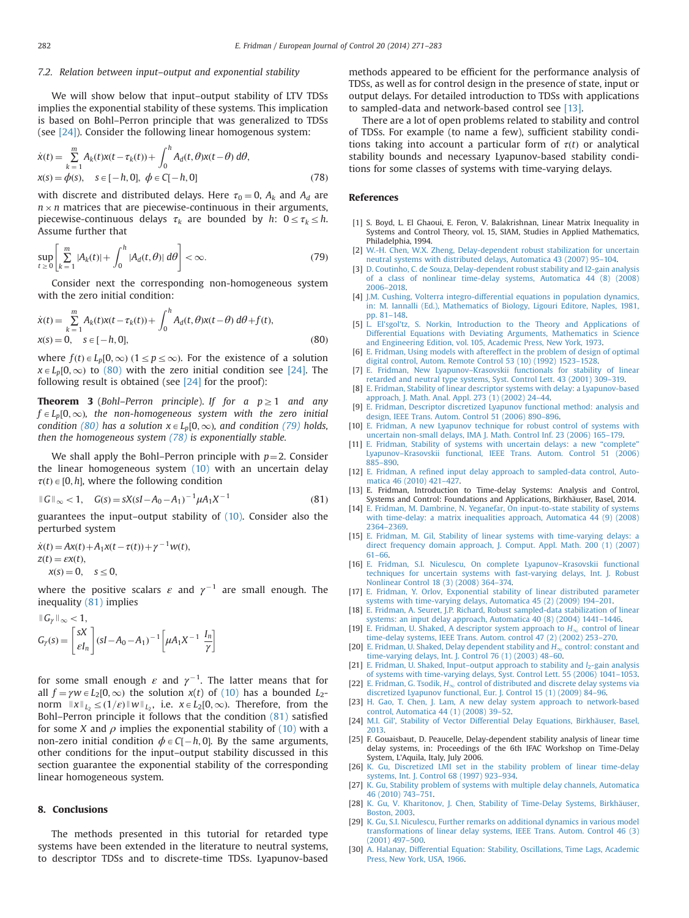## <span id="page-11-0"></span>7.2. Relation between input–output and exponential stability

We will show below that input–output stability of LTV TDSs implies the exponential stability of these systems. This implication is based on Bohl–Perron principle that was generalized to TDSs (see [24]). Consider the following linear homogenous system:

$$
\dot{x}(t) = \sum_{k=1}^{m} A_k(t)x(t - \tau_k(t)) + \int_0^h A_d(t, \theta)x(t - \theta) d\theta,
$$
  
\n
$$
x(s) = \phi(s), \quad s \in [-h, 0], \ \phi \in C[-h, 0]
$$
\n(78)

with discrete and distributed delays. Here  $\tau_0 = 0$ ,  $A_k$  and  $A_d$  are  $n \times n$  matrices that are piecewise-continuous in their arguments, piecewise-continuous delays  $\tau_k$  are bounded by h:  $0 \le \tau_k \le h$ . Assume further that

$$
\sup_{t\geq 0} \left[ \sum_{k=1}^m |A_k(t)| + \int_0^h |A_d(t,\theta)| \, d\theta \right] < \infty. \tag{79}
$$

Consider next the corresponding non-homogeneous system with the zero initial condition:

$$
\dot{x}(t) = \sum_{k=1}^{m} A_k(t)x(t - \tau_k(t)) + \int_0^h A_d(t, \theta)x(t - \theta) d\theta + f(t),
$$
  
\n
$$
x(s) = 0, \quad s \in [-h, 0],
$$
\n(80)

where  $f(t) \in L_p[0,\infty)$   $(1 \le p \le \infty)$ . For the existence of a solution  $x \in L_p[0,\infty)$  to (80) with the zero initial condition see [24]. The following result is obtained (see [24] for the proof):

**Theorem 3** (Bohl–Perron principle). If for a  $p \ge 1$  and any  $f \in L_p[0,\infty)$ , the non-homogeneous system with the zero initial condition (80) has a solution  $x \in L_p[0,\infty)$ , and condition (79) holds, then the homogeneous system (78) is exponentially stable.

We shall apply the Bohl–Perron principle with  $p=2$ . Consider the linear homogeneous system [\(10\)](#page-2-0) with an uncertain delay  $\tau(t) \in [0, h]$ , where the following condition

$$
||G||_{\infty} < 1, \quad G(s) = sX(sI - A_0 - A_1)^{-1} \mu A_1 X^{-1}
$$
\n(81)

guarantees the input–output stability of [\(10\)](#page-2-0). Consider also the perturbed system

$$
\dot{x}(t) = Ax(t) + A_1 x(t - \tau(t)) + \gamma^{-1} w(t),
$$
  
\n
$$
z(t) = \varepsilon x(t),
$$
  
\n
$$
x(s) = 0, \quad s \le 0,
$$

where the positive scalars  $\varepsilon$  and  $\gamma^{-1}$  are small enough. The inequality (81) implies

$$
\begin{aligned} \n\mathbb{I} \left[ G_{\gamma} \mathbb{I}_{\infty} < 1, \\ \nG_{\gamma}(s) &= \begin{bmatrix} sX \\ \varepsilon I_n \end{bmatrix} (sI - A_0 - A_1)^{-1} \left[ \mu A_1 X^{-1} \frac{I_n}{\gamma} \right] \n\end{aligned}
$$

for some small enough  $\varepsilon$  and  $\gamma^{-1}$ . The latter means that for all  $f = \gamma w \in L_2[0,\infty)$  the solution  $x(t)$  of [\(10\)](#page-2-0) has a bounded  $L_2$ norm  $||x||_{L_2} \leq (1/\varepsilon)||w||_{L_2}$ , i.e.  $x \in L_2[0,\infty)$ . Therefore, from the Bohl–Perron principle it follows that the condition (81) satisfied for some X and  $\rho$  implies the exponential stability of [\(10\)](#page-2-0) with a non-zero initial condition  $\phi \in \mathbb{C}[-h, 0]$ . By the same arguments, other conditions for the input-output stability discussed in this other conditions for the input–output stability discussed in this section guarantee the exponential stability of the corresponding linear homogeneous system.

## 8. Conclusions

The methods presented in this tutorial for retarded type systems have been extended in the literature to neutral systems, to descriptor TDSs and to discrete-time TDSs. Lyapunov-based

methods appeared to be efficient for the performance analysis of TDSs, as well as for control design in the presence of state, input or output delays. For detailed introduction to TDSs with applications to sampled-data and network-based control see [13].

There are a lot of open problems related to stability and control of TDSs. For example (to name a few), sufficient stability conditions taking into account a particular form of  $\tau(t)$  or analytical stability bounds and necessary Lyapunov-based stability conditions for some classes of systems with time-varying delays.

#### References

- [1] S. Boyd, L. El Ghaoui, E. Feron, V. Balakrishnan, Linear Matrix Inequality in Systems and Control Theory, vol. 15, SIAM, Studies in Applied Mathematics, Philadelphia, 1994.
- [2] [W.-H. Chen, W.X. Zheng, Delay-dependent robust stabilization for uncertain](http://refhub.elsevier.com/S0947-3580(14)00076-4/sbref2) [neutral systems with distributed delays, Automatica 43 \(2007\) 95](http://refhub.elsevier.com/S0947-3580(14)00076-4/sbref2)–104.
- [3] [D. Coutinho, C. de Souza, Delay-dependent robust stability and l2-gain analysis](http://refhub.elsevier.com/S0947-3580(14)00076-4/sbref3) [of a class of nonlinear time-delay systems, Automatica 44 \(8\) \(2008\)](http://refhub.elsevier.com/S0947-3580(14)00076-4/sbref3) 2006–[2018.](http://refhub.elsevier.com/S0947-3580(14)00076-4/sbref3)
- [4] [J.M. Cushing, Volterra integro-differential equations in population dynamics,](http://refhub.elsevier.com/S0947-3580(14)00076-4/sbref4) [in: M. Iannalli \(Ed.\), Mathematics of Biology, Ligouri Editore, Naples, 1981,](http://refhub.elsevier.com/S0947-3580(14)00076-4/sbref4) [pp. 81](http://refhub.elsevier.com/S0947-3580(14)00076-4/sbref4)–148.<br>[5] L. El'sgol'tz
- El'sgol'tz, S. Norkin, Introduction to the Theory and Applications of [Differential Equations with Deviating Arguments, Mathematics in Science](http://refhub.elsevier.com/S0947-3580(14)00076-4/sbref5) [and Engineering Edition, vol. 105, Academic Press, New York, 1973.](http://refhub.elsevier.com/S0947-3580(14)00076-4/sbref5)
- [6] [E. Fridman, Using models with aftereffect in the problem of design of optimal](http://refhub.elsevier.com/S0947-3580(14)00076-4/sbref6) [digital control, Autom. Remote Control 53 \(10\) \(1992\) 1523](http://refhub.elsevier.com/S0947-3580(14)00076-4/sbref6)–1528.
- [7] E. Fridman, New Lyapunov–[Krasovskii functionals for stability of linear](http://refhub.elsevier.com/S0947-3580(14)00076-4/sbref7) [retarded and neutral type systems, Syst. Control Lett. 43 \(2001\) 309](http://refhub.elsevier.com/S0947-3580(14)00076-4/sbref7)–319.
- [8] [E. Fridman, Stability of linear descriptor systems with delay: a Lyapunov-based](http://refhub.elsevier.com/S0947-3580(14)00076-4/sbref8) [approach, J. Math. Anal. Appl. 273 \(1\) \(2002\) 24](http://refhub.elsevier.com/S0947-3580(14)00076-4/sbref8)–44.
- [9] [E. Fridman, Descriptor discretized Lyapunov functional method: analysis and](http://refhub.elsevier.com/S0947-3580(14)00076-4/sbref9) [design, IEEE Trans. Autom. Control 51 \(2006\) 890](http://refhub.elsevier.com/S0947-3580(14)00076-4/sbref9)–896.
- [10] [E. Fridman, A new Lyapunov technique for robust control of systems with](http://refhub.elsevier.com/S0947-3580(14)00076-4/sbref10) [uncertain non-small delays, IMA J. Math. Control Inf. 23 \(2006\) 165](http://refhub.elsevier.com/S0947-3580(14)00076-4/sbref10)–179.
- [11] [E. Fridman, Stability of systems with uncertain delays: a new](http://refhub.elsevier.com/S0947-3580(14)00076-4/sbref11) "complete" Lyapunov–[Krasovskii functional, IEEE Trans. Autom. Control 51 \(2006\)](http://refhub.elsevier.com/S0947-3580(14)00076-4/sbref11) 885–[890.](http://refhub.elsevier.com/S0947-3580(14)00076-4/sbref11)
- [12] E. Fridman, A refi[ned input delay approach to sampled-data control, Auto](http://refhub.elsevier.com/S0947-3580(14)00076-4/sbref12)[matica 46 \(2010\) 421](http://refhub.elsevier.com/S0947-3580(14)00076-4/sbref12)–427.
- [13] E. Fridman, Introduction to Time-delay Systems: Analysis and Control, Systems and Control: Foundations and Applications, Birkhäuser, Basel, 2014.
- [14] [E. Fridman, M. Dambrine, N. Yeganefar, On input-to-state stability of systems](http://refhub.elsevier.com/S0947-3580(14)00076-4/sbref14) [with time-delay: a matrix inequalities approach, Automatica 44 \(9\) \(2008\)](http://refhub.elsevier.com/S0947-3580(14)00076-4/sbref14) 2364–[2369.](http://refhub.elsevier.com/S0947-3580(14)00076-4/sbref14)
- [15] [E. Fridman, M. Gil, Stability of linear systems with time-varying delays: a](http://refhub.elsevier.com/S0947-3580(14)00076-4/sbref15) [direct frequency domain approach, J. Comput. Appl. Math. 200 \(1\) \(2007\)](http://refhub.elsevier.com/S0947-3580(14)00076-4/sbref15) 61–[66.](http://refhub.elsevier.com/S0947-3580(14)00076-4/sbref15)
- [16] [E. Fridman, S.I. Niculescu, On complete Lyapunov](http://refhub.elsevier.com/S0947-3580(14)00076-4/sbref16)–Krasovskii functional [techniques for uncertain systems with fast-varying delays, Int. J. Robust](http://refhub.elsevier.com/S0947-3580(14)00076-4/sbref16) [Nonlinear Control 18 \(3\) \(2008\) 364](http://refhub.elsevier.com/S0947-3580(14)00076-4/sbref16)–374.
- [17] [E. Fridman, Y. Orlov, Exponential stability of linear distributed parameter](http://refhub.elsevier.com/S0947-3580(14)00076-4/sbref17) [systems with time-varying delays, Automatica 45 \(2\) \(2009\) 194](http://refhub.elsevier.com/S0947-3580(14)00076-4/sbref17)–201.
- [18] [E. Fridman, A. Seuret, J.P. Richard, Robust sampled-data stabilization of linear](http://refhub.elsevier.com/S0947-3580(14)00076-4/sbref18) [systems: an input delay approach, Automatica 40 \(8\) \(2004\) 1441](http://refhub.elsevier.com/S0947-3580(14)00076-4/sbref18)–1446.
- [19] [E. Fridman, U. Shaked, A descriptor system approach to](http://refhub.elsevier.com/S0947-3580(14)00076-4/sbref19)  $H_{\infty}$  [control of linear](http://refhub.elsevier.com/S0947-3580(14)00076-4/sbref19) [time-delay systems, IEEE Trans. Autom. control 47 \(2\) \(2002\) 253](http://refhub.elsevier.com/S0947-3580(14)00076-4/sbref19)–270.
- [20] [E. Fridman, U. Shaked, Delay dependent stability and](http://refhub.elsevier.com/S0947-3580(14)00076-4/sbref20)  $H_{\infty}$  [control: constant and](http://refhub.elsevier.com/S0947-3580(14)00076-4/sbref20) [time-varying delays, Int. J. Control 76 \(1\) \(2003\) 48](http://refhub.elsevier.com/S0947-3580(14)00076-4/sbref20)–60.
- [21] E. Fridman, U. Shaked, Input–[output approach to stability and](http://refhub.elsevier.com/S0947-3580(14)00076-4/sbref21)  $l_2$ -gain analysis [of systems with time-varying delays, Syst. Control Lett. 55 \(2006\) 1041](http://refhub.elsevier.com/S0947-3580(14)00076-4/sbref21)–1053.
- [22] [E. Fridman, G. Tsodik,](http://refhub.elsevier.com/S0947-3580(14)00076-4/sbref22)  $H_{\infty}$  [control of distributed and discrete delay systems via](http://refhub.elsevier.com/S0947-3580(14)00076-4/sbref22) [discretized Lyapunov functional, Eur. J. Control 15 \(1\) \(2009\) 84](http://refhub.elsevier.com/S0947-3580(14)00076-4/sbref22)–96. [23] [H. Gao, T. Chen, J. Lam, A new delay system approach to network-based](http://refhub.elsevier.com/S0947-3580(14)00076-4/sbref23)
- [control, Automatica 44 \(1\) \(2008\) 39](http://refhub.elsevier.com/S0947-3580(14)00076-4/sbref23)–52.
- [24] [M.I. Gil', Stability of Vector Differential Delay Equations, Birkhäuser, Basel,](http://refhub.elsevier.com/S0947-3580(14)00076-4/sbref24) [2013.](http://refhub.elsevier.com/S0947-3580(14)00076-4/sbref24)
- [25] F. Gouaisbaut, D. Peaucelle, Delay-dependent stability analysis of linear time delay systems, in: Proceedings of the 6th IFAC Workshop on Time-Delay System, L'Aquila, Italy, July 2006.
- [26] [K. Gu, Discretized LMI set in the stability problem of linear time-delay](http://refhub.elsevier.com/S0947-3580(14)00076-4/sbref26) [systems, Int. J. Control 68 \(1997\) 923](http://refhub.elsevier.com/S0947-3580(14)00076-4/sbref26)–934.
- [27] [K. Gu, Stability problem of systems with multiple delay channels, Automatica](http://refhub.elsevier.com/S0947-3580(14)00076-4/sbref27) [46 \(2010\) 743](http://refhub.elsevier.com/S0947-3580(14)00076-4/sbref27)–751.
- [28] [K. Gu, V. Kharitonov, J. Chen, Stability of Time-Delay Systems, Birkhäuser,](http://refhub.elsevier.com/S0947-3580(14)00076-4/sbref28) [Boston, 2003.](http://refhub.elsevier.com/S0947-3580(14)00076-4/sbref28)
- [29] [K. Gu, S.I. Niculescu, Further remarks on additional dynamics in various model](http://refhub.elsevier.com/S0947-3580(14)00076-4/sbref29) [transformations of linear delay systems, IEEE Trans. Autom. Control 46 \(3\)](http://refhub.elsevier.com/S0947-3580(14)00076-4/sbref29) [\(2001\) 497](http://refhub.elsevier.com/S0947-3580(14)00076-4/sbref29)–500.
- [30] [A. Halanay, Differential Equation: Stability, Oscillations, Time Lags, Academic](http://refhub.elsevier.com/S0947-3580(14)00076-4/sbref30) [Press, New York, USA, 1966.](http://refhub.elsevier.com/S0947-3580(14)00076-4/sbref30)